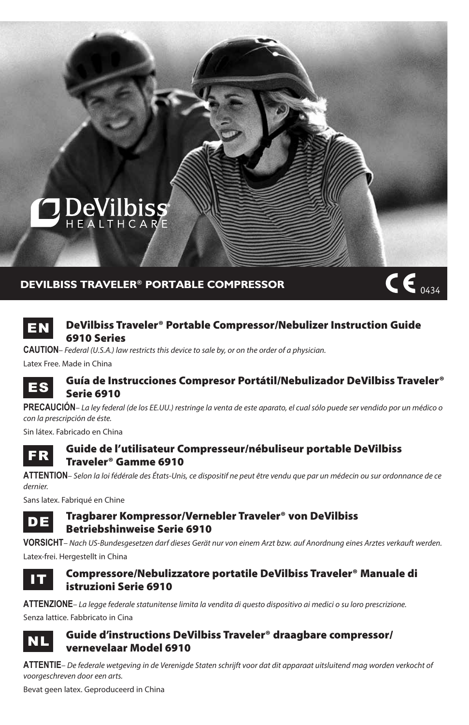

## **devilbiss Traveler® Portable Compressor**



## **EN** DeVilbiss Traveler<sup>®</sup> Portable Compressor/Nebulizer Instruction Guide 6910 Series

**Caution***– Federal (U.S.A.) law restricts this device to sale by, or on the order of a physician.*

Latex Free. Made in China



### ES Guía de Instrucciones Compresor Portátil/Nebulizador DeVilbiss Traveler® Serie 6910

**Precaución***– La ley federal (de los EE.UU.) restringe la venta de este aparato, el cual sólo puede ser vendido por un médico o con la prescripción de éste.*

Sin látex. Fabricado en China



## **FR** Guide de l'utilisateur Compresseur/nébuliseur portable DeVilbiss Traveler® Gamme 6910

**Attention***– Selon la loi fédérale des États-Unis, ce dispositif ne peut être vendu que par un médecin ou sur ordonnance de ce dernier.*

Sans latex. Fabriqué en Chine

DE Tragbarer Kompressor/Vernebler Traveler® von DeVilbiss Betriebshinweise Serie 6910

**Vorsicht***– Nach US-Bundesgesetzen darf dieses Gerät nur von einem Arzt bzw. auf Anordnung eines Arztes verkauft werden.* Latex-frei. Hergestellt in China



## IT Compressore/Nebulizzatore portatile DeVilbiss Traveler® Manuale di istruzioni Serie 6910

**Attenzione***– La legge federale statunitense limita la vendita di questo dispositivo ai medici o su loro prescrizione.* Senza lattice. Fabbricato in Cina



## NL Guide d'instructions DeVilbiss Traveler® draagbare compressor/ vernevelaar Model 6910

**Attentie***– De federale wetgeving in de Verenigde Staten schrijft voor dat dit apparaat uitsluitend mag worden verkocht of voorgeschreven door een arts.*

Bevat geen latex. Geproduceerd in China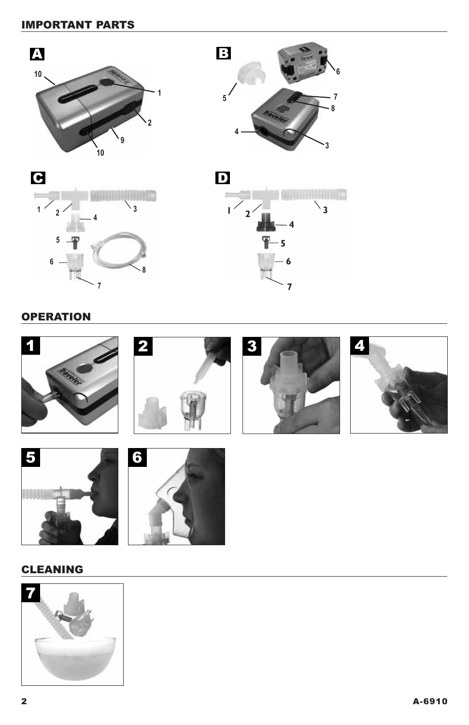# important parts









# **OPERATION**







# **CLEANING**

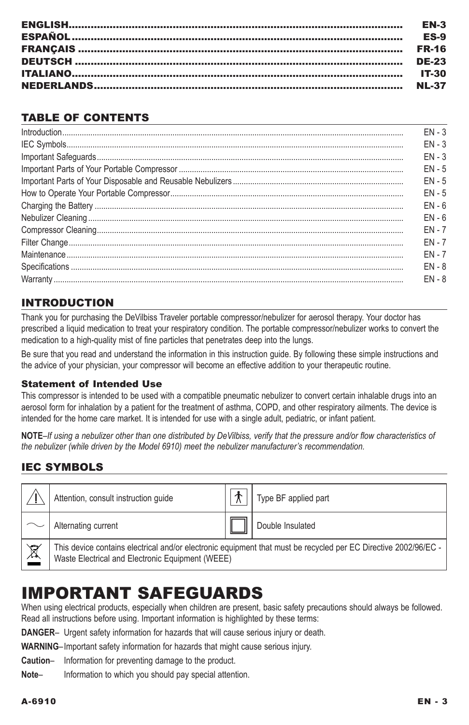| <b>EN-3</b> |
|-------------|
| <b>ES-9</b> |
|             |
|             |
|             |
|             |

## TABLE OF CONTENTS

| $FN - 3$ |
|----------|
| $FN - 3$ |
| $FN - 3$ |
| $EN - 5$ |
| $FN - 5$ |
| $FN - 5$ |
| $FN - 6$ |
| $EN - 6$ |
| $FN - 7$ |
| $FN - 7$ |
| $FN - 7$ |
| $FN - 8$ |
| $FN - 8$ |
|          |

# INTRODUCTION

Thank you for purchasing the DeVilbiss Traveler portable compressor/nebulizer for aerosol therapy. Your doctor has prescribed a liquid medication to treat your respiratory condition. The portable compressor/nebulizer works to convert the medication to a high-quality mist of fine particles that penetrates deep into the lungs.

Be sure that you read and understand the information in this instruction guide. By following these simple instructions and the advice of your physician, your compressor will become an effective addition to your therapeutic routine.

### Statement of Intended Use

This compressor is intended to be used with a compatible pneumatic nebulizer to convert certain inhalable drugs into an aerosol form for inhalation by a patient for the treatment of asthma, COPD, and other respiratory ailments. The device is intended for the home care market. It is intended for use with a single adult, pediatric, or infant patient.

**NOTE***–If using a nebulizer other than one distributed by DeVilbiss, verify that the pressure and/or flow characteristics of the nebulizer (while driven by the Model 6910) meet the nebulizer manufacturer's recommendation.*

# **IEC SYMBOLS**

|                          | Attention, consult instruction guide             | Type BF applied part                                                                                            |
|--------------------------|--------------------------------------------------|-----------------------------------------------------------------------------------------------------------------|
|                          | Alternating current                              | Double Insulated                                                                                                |
| $\underline{\mathbb{X}}$ | Waste Electrical and Electronic Equipment (WEEE) | This device contains electrical and/or electronic equipment that must be recycled per EC Directive 2002/96/EC - |

# IMPORTANT SAFEGUARDS

When using electrical products, especially when children are present, basic safety precautions should always be followed. Read all instructions before using. Important information is highlighted by these terms:

**DANGER**– Urgent safety information for hazards that will cause serious injury or death.

**Warning**–Important safety information for hazards that might cause serious injury.

**Caution**– Information for preventing damage to the product.

**Note**– Information to which you should pay special attention.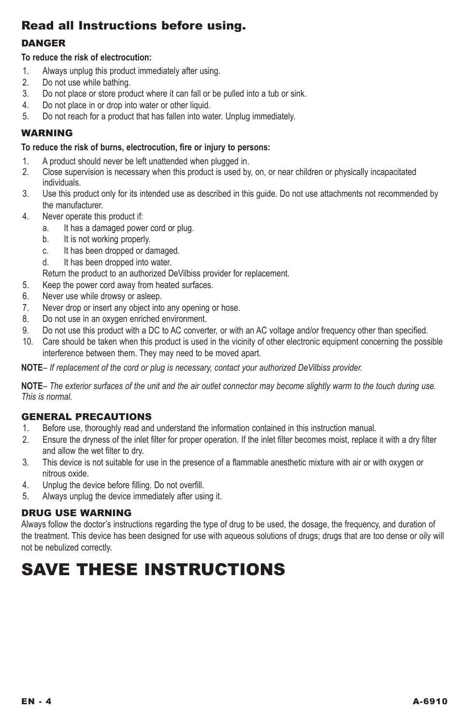# Read all Instructions before using.

## **DANGER**

## **To reduce the risk of electrocution:**

- 1. Always unplug this product immediately after using.
- 2. Do not use while bathing.
- 3. Do not place or store product where it can fall or be pulled into a tub or sink.
- 4. Do not place in or drop into water or other liquid.
- 5. Do not reach for a product that has fallen into water. Unplug immediately.

## **WARNING**

### **To reduce the risk of burns, electrocution, fire or injury to persons:**

- 1. A product should never be left unattended when plugged in.
- 2. Close supervision is necessary when this product is used by, on, or near children or physically incapacitated individuals.
- 3. Use this product only for its intended use as described in this guide. Do not use attachments not recommended by the manufacturer.
- 4. Never operate this product if:
	- a. It has a damaged power cord or plug.
	- b. It is not working properly.
	- c. It has been dropped or damaged.
	- d. It has been dropped into water.
	- Return the product to an authorized DeVilbiss provider for replacement.
- 5. Keep the power cord away from heated surfaces.
- 6. Never use while drowsy or asleep.
- 7. Never drop or insert any object into any opening or hose.
- 8. Do not use in an oxygen enriched environment.<br>9. Do not use this product with a DC to AC convert
- Do not use this product with a DC to AC converter, or with an AC voltage and/or frequency other than specified.
- 10. Care should be taken when this product is used in the vicinity of other electronic equipment concerning the possible interference between them. They may need to be moved apart.

**Note***– If replacement of the cord or plug is necessary, contact your authorized DeVilbiss provider.*

**Note***– The exterior surfaces of the unit and the air outlet connector may become slightly warm to the touch during use. This is normal.*

## GENERAL PRECAUTIONS

- 1. Before use, thoroughly read and understand the information contained in this instruction manual.
- 2. Ensure the dryness of the inlet filter for proper operation. If the inlet filter becomes moist, replace it with a dry filter and allow the wet filter to dry.
- 3. This device is not suitable for use in the presence of a flammable anesthetic mixture with air or with oxygen or nitrous oxide.
- 4. Unplug the device before filling. Do not overfill.
- 5. Always unplug the device immediately after using it.

## DRUG USE WARNING

Always follow the doctor's instructions regarding the type of drug to be used, the dosage, the frequency, and duration of the treatment. This device has been designed for use with aqueous solutions of drugs; drugs that are too dense or oily will not be nebulized correctly.

# Save these instructions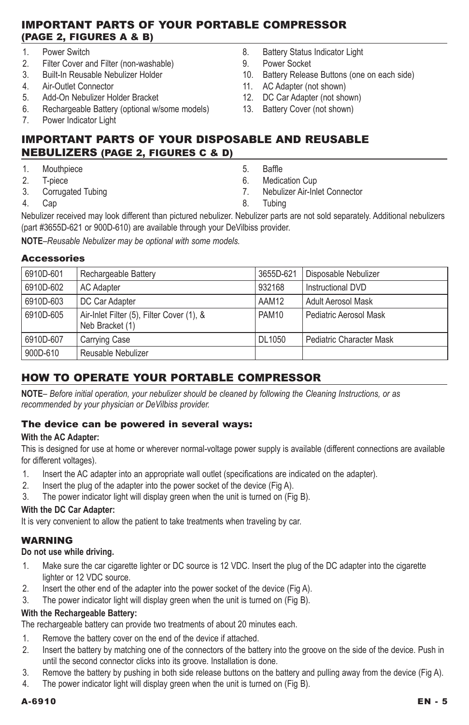## Important Parts of your portable compressor (Page 2, Figures A & B)

- 1. Power Switch<br>2. Filter Cover are
- 2. Filter Cover and Filter (non-washable)<br>3. Built-In Reusable Nebulizer Holder
- 3. Built-In Reusable Nebulizer Holder
- 4. Air-Outlet Connector
- 5. Add-On Nebulizer Holder Bracket
- 6. Rechargeable Battery (optional w/some models)<br>7 Power Indicator Light
- Power Indicator Light
- 8. Battery Status Indicator Light
- 9. Power Socket
- 10. Battery Release Buttons (one on each side)
- 11. AC Adapter (not shown)
- 12. DC Car Adapter (not shown)
- 13. Battery Cover (not shown)

## Important parts of your disposable and reusable nebulizers (Page 2, Figures C & D)

- 1. Mouthpiece
- 2. T-piece
- 3. Corrugated Tubing
- 4. Cap
- 5. Baffle
- 6. Medication Cup
- 7. Nebulizer Air-Inlet Connector
- 8. Tubing

Nebulizer received may look different than pictured nebulizer. Nebulizer parts are not sold separately. Additional nebulizers (part #3655D-621 or 900D-610) are available through your DeVilbiss provider.

**Note***–Reusable Nebulizer may be optional with some models.*

### Accessories

| 6910D-601 | Rechargeable Battery                                         | 3655D-621 | Disposable Nebulizer     |
|-----------|--------------------------------------------------------------|-----------|--------------------------|
| 6910D-602 | <b>AC Adapter</b>                                            | 932168    | Instructional DVD        |
| 6910D-603 | DC Car Adapter                                               | AAM12     | Adult Aerosol Mask       |
| 6910D-605 | Air-Inlet Filter (5), Filter Cover (1), &<br>Neb Bracket (1) | PAM10     | Pediatric Aerosol Mask   |
| 6910D-607 | Carrying Case                                                | DL1050    | Pediatric Character Mask |
| 900D-610  | Reusable Nebulizer                                           |           |                          |

# How to operate your portable compressor

**Note***– Before initial operation, your nebulizer should be cleaned by following the Cleaning Instructions, or as recommended by your physician or DeVilbiss provider.*

### The device can be powered in several ways:

### **With the AC Adapter:**

This is designed for use at home or wherever normal-voltage power supply is available (different connections are available for different voltages).

- 1. Insert the AC adapter into an appropriate wall outlet (specifications are indicated on the adapter).
- 2. Insert the plug of the adapter into the power socket of the device (Fig A).
- 3. The power indicator light will display green when the unit is turned on (Fig B).

## **With the DC Car Adapter:**

It is very convenient to allow the patient to take treatments when traveling by car.

## **WARNING**

### **Do not use while driving.**

- 1. Make sure the car cigarette lighter or DC source is 12 VDC. Insert the plug of the DC adapter into the cigarette lighter or 12 VDC source.
- 2. Insert the other end of the adapter into the power socket of the device (Fig A).

3. The power indicator light will display green when the unit is turned on (Fig B).

### **With the Rechargeable Battery:**

The rechargeable battery can provide two treatments of about 20 minutes each.

- 1. Remove the battery cover on the end of the device if attached.
- 2. Insert the battery by matching one of the connectors of the battery into the groove on the side of the device. Push in until the second connector clicks into its groove. Installation is done.
- 3. Remove the battery by pushing in both side release buttons on the battery and pulling away from the device (Fig A).
- 4. The power indicator light will display green when the unit is turned on (Fig B).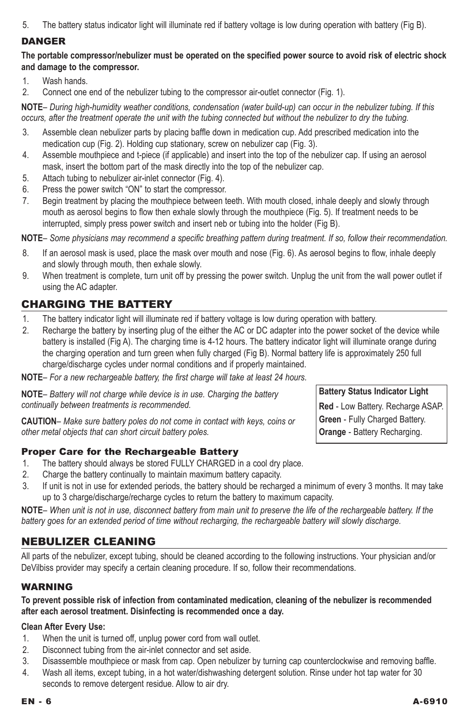5. The battery status indicator light will illuminate red if battery voltage is low during operation with battery (Fig B).

## **DANGER**

**The portable compressor/nebulizer must be operated on the specified power source to avoid risk of electric shock and damage to the compressor.**

1. Wash hands.

2. Connect one end of the nebulizer tubing to the compressor air-outlet connector (Fig. 1).

**Note***– During high-humidity weather conditions, condensation (water build-up) can occur in the nebulizer tubing. If this occurs, after the treatment operate the unit with the tubing connected but without the nebulizer to dry the tubing.*

- 3. Assemble clean nebulizer parts by placing baffle down in medication cup. Add prescribed medication into the medication cup (Fig. 2). Holding cup stationary, screw on nebulizer cap (Fig. 3).
- 4. Assemble mouthpiece and t-piece (if applicable) and insert into the top of the nebulizer cap. If using an aerosol mask, insert the bottom part of the mask directly into the top of the nebulizer cap.
- 5. Attach tubing to nebulizer air-inlet connector (Fig. 4).
- 6. Press the power switch "ON" to start the compressor.
- 7. Begin treatment by placing the mouthpiece between teeth. With mouth closed, inhale deeply and slowly through mouth as aerosol begins to flow then exhale slowly through the mouthpiece (Fig. 5). If treatment needs to be interrupted, simply press power switch and insert neb or tubing into the holder (Fig B).

**Note***– Some physicians may recommend a specific breathing pattern during treatment. If so, follow their recommendation.*

- 8. If an aerosol mask is used, place the mask over mouth and nose (Fig. 6). As aerosol begins to flow, inhale deeply and slowly through mouth, then exhale slowly.
- 9. When treatment is complete, turn unit off by pressing the power switch. Unplug the unit from the wall power outlet if using the AC adapter.

## Charging the Battery

- 1. The battery indicator light will illuminate red if battery voltage is low during operation with battery.
- 2. Recharge the battery by inserting plug of the either the AC or DC adapter into the power socket of the device while battery is installed (Fig A). The charging time is 4-12 hours. The battery indicator light will illuminate orange during the charging operation and turn green when fully charged (Fig B). Normal battery life is approximately 250 full charge/discharge cycles under normal conditions and if properly maintained.

**NOTE**– For a new rechargeable battery, the first charge will take at least 24 hours.

**Note***– Battery will not charge while device is in use. Charging the battery continually between treatments is recommended.* 

**Caution***– Make sure battery poles do not come in contact with keys, coins or other metal objects that can short circuit battery poles.*

### Proper Care for the Rechargeable Battery

- 1. The battery should always be stored FULLY CHARGED in a cool dry place.
- 2. Charge the battery continually to maintain maximum battery capacity.
- 3. If unit is not in use for extended periods, the battery should be recharged a minimum of every 3 months. It may take up to 3 charge/discharge/recharge cycles to return the battery to maximum capacity.

**Note***– When unit is not in use, disconnect battery from main unit to preserve the life of the rechargeable battery. If the battery goes for an extended period of time without recharging, the rechargeable battery will slowly discharge.*

## Nebulizer Cleaning

All parts of the nebulizer, except tubing, should be cleaned according to the following instructions. Your physician and/or DeVilbiss provider may specify a certain cleaning procedure. If so, follow their recommendations.

## **WARNING**

### **To prevent possible risk of infection from contaminated medication, cleaning of the nebulizer is recommended after each aerosol treatment. Disinfecting is recommended once a day.**

### **Clean After Every Use:**

- 1. When the unit is turned off, unplug power cord from wall outlet.
- 2. Disconnect tubing from the air-inlet connector and set aside.
- 3. Disassemble mouthpiece or mask from cap. Open nebulizer by turning cap counterclockwise and removing baffle.
- 4. Wash all items, except tubing, in a hot water/dishwashing detergent solution. Rinse under hot tap water for 30 seconds to remove detergent residue. Allow to air dry.

**Battery Status Indicator Light Red** - Low Battery. Recharge ASAP. **Green** - Fully Charged Battery.

**Orange** - Battery Recharging.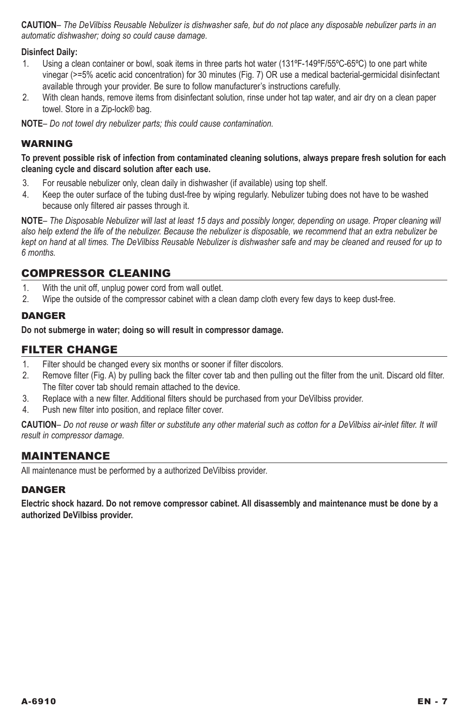**Caution***– The DeVilbiss Reusable Nebulizer is dishwasher safe, but do not place any disposable nebulizer parts in an automatic dishwasher; doing so could cause damage.*

### **Disinfect Daily:**

- 1. Using a clean container or bowl, soak items in three parts hot water (131ºF-149ºF/55ºC-65ºC) to one part white vinegar (>=5% acetic acid concentration) for 30 minutes (Fig. 7) OR use a medical bacterial-germicidal disinfectant available through your provider. Be sure to follow manufacturer's instructions carefully.
- 2. With clean hands, remove items from disinfectant solution, rinse under hot tap water, and air dry on a clean paper towel. Store in a Zip-lock® bag.

**Note***– Do not towel dry nebulizer parts; this could cause contamination.*

### **WARNING**

**To prevent possible risk of infection from contaminated cleaning solutions, always prepare fresh solution for each cleaning cycle and discard solution after each use.**

- 3. For reusable nebulizer only, clean daily in dishwasher (if available) using top shelf.
- 4. Keep the outer surface of the tubing dust-free by wiping regularly. Nebulizer tubing does not have to be washed because only filtered air passes through it.

**Note***– The Disposable Nebulizer will last at least 15 days and possibly longer, depending on usage. Proper cleaning will also help extend the life of the nebulizer. Because the nebulizer is disposable, we recommend that an extra nebulizer be kept on hand at all times. The DeVilbiss Reusable Nebulizer is dishwasher safe and may be cleaned and reused for up to 6 months.*

## Compressor cleaning

- 1. With the unit off, unplug power cord from wall outlet.<br>2. Wipe the outside of the compressor cabinet with a cl
- Wipe the outside of the compressor cabinet with a clean damp cloth every few days to keep dust-free.

### **DANGER**

**Do not submerge in water; doing so will result in compressor damage.**

### Filter change

- 1. Filter should be changed every six months or sooner if filter discolors.<br>2. Remove filter (Fig. A) by pulling back the filter cover tab and then pulli
- Remove filter (Fig. A) by pulling back the filter cover tab and then pulling out the filter from the unit. Discard old filter. The filter cover tab should remain attached to the device.
- 3. Replace with a new filter. Additional filters should be purchased from your DeVilbiss provider.
- 4. Push new filter into position, and replace filter cover.

**Caution***– Do not reuse or wash filter or substitute any other material such as cotton for a DeVilbiss air-inlet filter. It will result in compressor damage.*

### Maintenance

All maintenance must be performed by a authorized DeVilbiss provider.

### **DANGER**

**Electric shock hazard. Do not remove compressor cabinet. All disassembly and maintenance must be done by a authorized DeVilbiss provider.**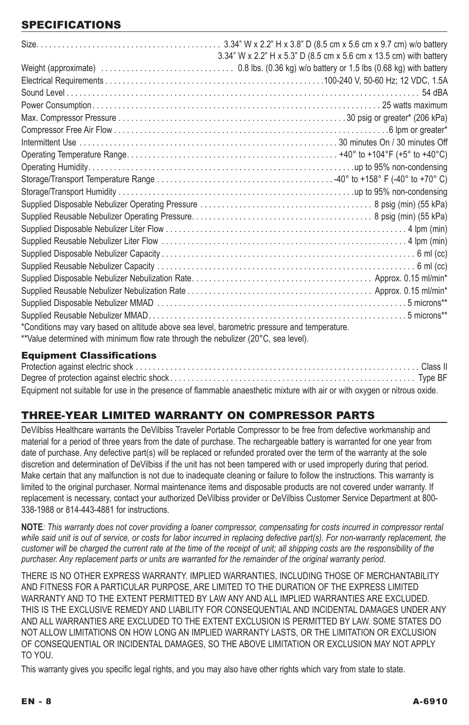# **SPECIFICATIONS**

|                                                                                              | 3.34" W x 2.2" H x 5.3" D (8.5 cm x 5.6 cm x 13.5 cm) with battery |
|----------------------------------------------------------------------------------------------|--------------------------------------------------------------------|
|                                                                                              |                                                                    |
|                                                                                              |                                                                    |
|                                                                                              |                                                                    |
|                                                                                              |                                                                    |
|                                                                                              |                                                                    |
|                                                                                              |                                                                    |
|                                                                                              |                                                                    |
|                                                                                              |                                                                    |
|                                                                                              |                                                                    |
|                                                                                              |                                                                    |
|                                                                                              |                                                                    |
|                                                                                              |                                                                    |
|                                                                                              |                                                                    |
|                                                                                              |                                                                    |
|                                                                                              |                                                                    |
|                                                                                              |                                                                    |
|                                                                                              |                                                                    |
|                                                                                              |                                                                    |
|                                                                                              |                                                                    |
|                                                                                              |                                                                    |
|                                                                                              |                                                                    |
|                                                                                              |                                                                    |
| *Conditions may vary based on altitude above sea level, barometric pressure and temperature. |                                                                    |
| **Value determined with minimum flow rate through the nebulizer (20°C, sea level).           |                                                                    |
|                                                                                              |                                                                    |

### Equipment Classifications

| Equipment not suitable for use in the presence of flammable anaesthetic mixture with air or with oxygen or nitrous oxide. |  |
|---------------------------------------------------------------------------------------------------------------------------|--|

# three-year limited warranty on compressor parts

DeVilbiss Healthcare warrants the DeVilbiss Traveler Portable Compressor to be free from defective workmanship and material for a period of three years from the date of purchase. The rechargeable battery is warranted for one year from date of purchase. Any defective part(s) will be replaced or refunded prorated over the term of the warranty at the sole discretion and determination of DeVilbiss if the unit has not been tampered with or used improperly during that period. Make certain that any malfunction is not due to inadequate cleaning or failure to follow the instructions. This warranty is limited to the original purchaser. Normal maintenance items and disposable products are not covered under warranty. If replacement is necessary, contact your authorized DeVilbiss provider or DeVilbiss Customer Service Department at 800- 338-1988 or 814-443-4881 for instructions.

**NOTE***: This warranty does not cover providing a loaner compressor, compensating for costs incurred in compressor rental*  while said unit is out of service, or costs for labor incurred in replacing defective part(s). For non-warranty replacement, the *customer will be charged the current rate at the time of the receipt of unit; all shipping costs are the responsibility of the purchaser. Any replacement parts or units are warranted for the remainder of the original warranty period.* 

THERE IS NO OTHER EXPRESS WARRANTY. IMPLIED WARRANTIES, INCLUDING THOSE OF MERCHANTABILITY AND FITNESS FOR A PARTICULAR PURPOSE, ARE LIMITED TO THE DURATION OF THE EXPRESS LIMITED WARRANTY AND TO THE EXTENT PERMITTED BY LAW ANY AND ALL IMPLIED WARRANTIES ARE EXCLUDED. THIS IS THE EXCLUSIVE REMEDY AND LIABILITY FOR CONSEQUENTIAL AND INCIDENTAL DAMAGES UNDER ANY AND ALL WARRANTIES ARE EXCLUDED TO THE EXTENT EXCLUSION IS PERMITTED BY LAW. SOME STATES DO NOT ALLOW LIMITATIONS ON HOW LONG AN IMPLIED WARRANTY LASTS, OR THE LIMITATION OR EXCLUSION OF CONSEQUENTIAL OR INCIDENTAL DAMAGES, SO THE ABOVE LIMITATION OR EXCLUSION MAY NOT APPLY TO YOU.

This warranty gives you specific legal rights, and you may also have other rights which vary from state to state.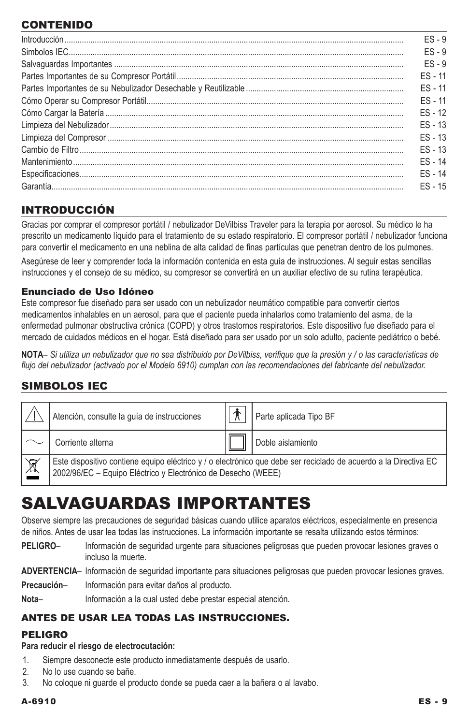# **CONTENIDO**

| $ES - 9$  |
|-----------|
| $FS - 9$  |
| $ES - 9$  |
| $FS - 11$ |
| $FS - 11$ |
| $FS - 11$ |
| $FS - 12$ |
| $ES - 13$ |
| $FS - 13$ |
| $FS - 13$ |
| $FS - 14$ |
| $FS - 14$ |
| $FS - 15$ |

# Introducción

Gracias por comprar el compresor portátil / nebulizador DeVilbiss Traveler para la terapia por aerosol. Su médico le ha prescrito un medicamento líquido para el tratamiento de su estado respiratorio. El compresor portátil / nebulizador funciona para convertir el medicamento en una neblina de alta calidad de finas partículas que penetran dentro de los pulmones.

Asegúrese de leer y comprender toda la información contenida en esta guía de instrucciones. Al seguir estas sencillas instrucciones y el consejo de su médico, su compresor se convertirá en un auxiliar efectivo de su rutina terapéutica.

### Enunciado de Uso Idóneo

Este compresor fue diseñado para ser usado con un nebulizador neumático compatible para convertir ciertos medicamentos inhalables en un aerosol, para que el paciente pueda inhalarlos como tratamiento del asma, de la enfermedad pulmonar obstructiva crónica (COPD) y otros trastornos respiratorios. Este dispositivo fue diseñado para el mercado de cuidados médicos en el hogar. Está diseñado para ser usado por un solo adulto, paciente pediátrico o bebé.

**NOTA***– Si utiliza un nebulizador que no sea distribuido por DeVilbiss, verifique que la presión y / o las características de flujo del nebulizador (activado por el Modelo 6910) cumplan con las recomendaciones del fabricante del nebulizador.*

# Simbolos IEC

|                          | Atención, consulte la guía de instrucciones                   | ₩ | Parte aplicada Tipo BF                                                                                           |
|--------------------------|---------------------------------------------------------------|---|------------------------------------------------------------------------------------------------------------------|
|                          | Corriente alterna                                             |   | Doble aislamiento                                                                                                |
| $\underline{\mathbb{X}}$ | 2002/96/EC - Equipo Eléctrico y Electrónico de Desecho (WEEE) |   | Este dispositivo contiene equipo eléctrico y / o electrónico que debe ser reciclado de acuerdo a la Directiva EC |

# Salvaguardas Importantes

Observe siempre las precauciones de seguridad básicas cuando utilice aparatos eléctricos, especialmente en presencia de niños. Antes de usar lea todas las instrucciones. La información importante se resalta utilizando estos términos:

**PELIGRO**– Información de seguridad urgente para situaciones peligrosas que pueden provocar lesiones graves o incluso la muerte.

**ADVERTENCIA**– Información de seguridad importante para situaciones peligrosas que pueden provocar lesiones graves.

**Precaución**– Información para evitar daños al producto.

Nota– Información a la cual usted debe prestar especial atención.

## Antes de usar lea todas las Instrucciones.

## Peligro

### **Para reducir el riesgo de electrocutación:**

- 1. Siempre desconecte este producto inmediatamente después de usarlo.
- 2. No lo use cuando se bañe.<br>3 No coloque ni quarde el pro
- No coloque ni guarde el producto donde se pueda caer a la bañera o al lavabo.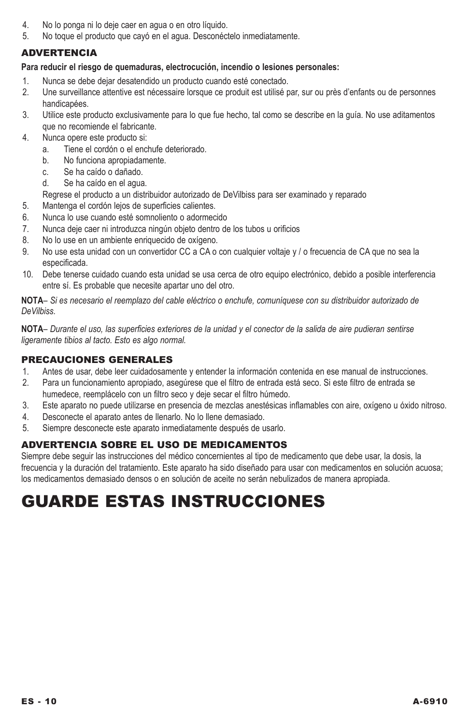- 4. No lo ponga ni lo deje caer en agua o en otro líquido.
- 5. No toque el producto que cayó en el agua. Desconéctelo inmediatamente.

## ADVERTENCIA

### **Para reducir el riesgo de quemaduras, electrocución, incendio o lesiones personales:**

- 1. Nunca se debe dejar desatendido un producto cuando esté conectado.
- 2. Une surveillance attentive est nécessaire lorsque ce produit est utilisé par, sur ou près d'enfants ou de personnes handicapées.
- 3. Utilice este producto exclusivamente para lo que fue hecho, tal como se describe en la guía. No use aditamentos que no recomiende el fabricante.
- 4. Nunca opere este producto si:
	- a. Tiene el cordón o el enchufe deteriorado.
	- b. No funciona apropiadamente.
	- c. Se ha caído o dañado.
	- d. Se ha caído en el agua.
	- Regrese el producto a un distribuidor autorizado de DeVilbiss para ser examinado y reparado
- 5. Mantenga el cordón lejos de superficies calientes.
- 6. Nunca lo use cuando esté somnoliento o adormecido
- 7. Nunca deje caer ni introduzca ningún objeto dentro de los tubos u orificios
- 8. No lo use en un ambiente enriquecido de oxígeno.
- 9. No use esta unidad con un convertidor CC a CA o con cualquier voltaje y / o frecuencia de CA que no sea la especificada.
- 10. Debe tenerse cuidado cuando esta unidad se usa cerca de otro equipo electrónico, debido a posible interferencia entre sí. Es probable que necesite apartar uno del otro.

**NOTA***– Si es necesario el reemplazo del cable eléctrico o enchufe, comuníquese con su distribuidor autorizado de DeVilbiss.*

**NOTA***– Durante el uso, las superficies exteriores de la unidad y el conector de la salida de aire pudieran sentirse ligeramente tibios al tacto. Esto es algo normal.*

### PRECAUCIONES GENERALES

- 1. Antes de usar, debe leer cuidadosamente y entender la información contenida en ese manual de instrucciones.<br>2. Para un funcionamiento apropiado, asegúrese que el filtro de entrada está seco. Si este filtro de entrada se
- 2. Para un funcionamiento apropiado, asegúrese que el filtro de entrada está seco. Si este filtro de entrada se humedece, reemplácelo con un filtro seco y deje secar el filtro húmedo.
- 3. Este aparato no puede utilizarse en presencia de mezclas anestésicas inflamables con aire, oxígeno u óxido nitroso.
- 4. Desconecte el aparato antes de llenarlo. No lo llene demasiado.
- 5. Siempre desconecte este aparato inmediatamente después de usarlo.

### ADVERTENCIA SOBRE EL USO DE MEDICAMENTOS

Siempre debe seguir las instrucciones del médico concernientes al tipo de medicamento que debe usar, la dosis, la frecuencia y la duración del tratamiento. Este aparato ha sido diseñado para usar con medicamentos en solución acuosa; los medicamentos demasiado densos o en solución de aceite no serán nebulizados de manera apropiada.

# GUARDE ESTAS INSTRUCCIONES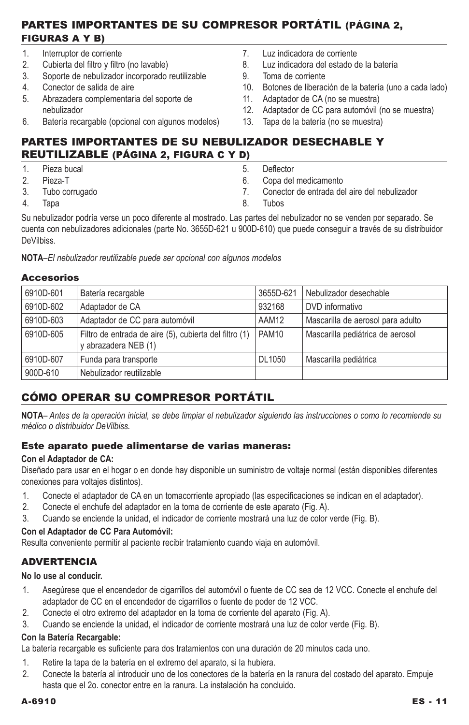## Partes Importantes de su compresor portátil (página 2, Figuras A y B)

- 1. Interruptor de corriente<br>2. Cubierta del filtro y filtro
- 2. Cubierta del filtro y filtro (no lavable)
- 3. Soporte de nebulizador incorporado reutilizable
- 4. Conector de salida de aire
- 5. Abrazadera complementaria del soporte de nebulizador
- 6. Batería recargable (opcional con algunos modelos)
- 7. Luz indicadora de corriente
- 8. Luz indicadora del estado de la batería
- 9. Toma de corriente
- 10. Botones de liberación de la batería (uno a cada lado)
- 11. Adaptador de CA (no se muestra)
- 12. Adaptador de CC para automóvil (no se muestra)<br>13. Tapa de la batería (no se muestra)
- Tapa de la batería (no se muestra)

## Partes importantes de su nebulizador desechable y reutilizable (página 2, Figura C y D)

- 1. Pieza bucal
- Pieza-T
- 3. Tubo corrugado
- 4. Tapa

5. Deflector

- 6. Copa del medicamento
- 7. Conector de entrada del aire del nebulizador
- 8. Tubos

Su nebulizador podría verse un poco diferente al mostrado. Las partes del nebulizador no se venden por separado. Se cuenta con nebulizadores adicionales (parte No. 3655D-621 u 900D-610) que puede conseguir a través de su distribuidor **DeVilhiss** 

**NotA***–El nebulizador reutilizable puede ser opcional con algunos modelos*

### Accesorios

| 6910D-601 | Batería recargable                                                             | 3655D-621         | Nebulizador desechable            |
|-----------|--------------------------------------------------------------------------------|-------------------|-----------------------------------|
| 6910D-602 | Adaptador de CA                                                                | 932168            | DVD informativo                   |
| 6910D-603 | Adaptador de CC para automóvil                                                 | AAM12             | Mascarilla de aerosol para adulto |
| 6910D-605 | Filtro de entrada de aire (5), cubierta del filtro (1)<br>y abrazadera NEB (1) | PAM <sub>10</sub> | Mascarilla pediátrica de aerosol  |
| 6910D-607 | Funda para transporte                                                          | <b>DL1050</b>     | Mascarilla pediátrica             |
| 900D-610  | Nebulizador reutilizable                                                       |                   |                                   |

## Cómo Operar su Compresor Portátil

**NOTA***– Antes de la operación inicial, se debe limpiar el nebulizador siguiendo las instrucciones o como lo recomiende su médico o distribuidor DeVilbiss.*

### Este aparato puede alimentarse de varias maneras:

### **Con el Adaptador de CA:**

Diseñado para usar en el hogar o en donde hay disponible un suministro de voltaje normal (están disponibles diferentes conexiones para voltajes distintos).

- 1. Conecte el adaptador de CA en un tomacorriente apropiado (las especificaciones se indican en el adaptador).
- 2. Conecte el enchufe del adaptador en la toma de corriente de este aparato (Fig. A).
- 3. Cuando se enciende la unidad, el indicador de corriente mostrará una luz de color verde (Fig. B).

## **Con el Adaptador de CC Para Automóvil:**

Resulta conveniente permitir al paciente recibir tratamiento cuando viaja en automóvil.

## **ADVERTENCIA**

### **No lo use al conducir.**

- 1. Asegúrese que el encendedor de cigarrillos del automóvil o fuente de CC sea de 12 VCC. Conecte el enchufe del adaptador de CC en el encendedor de cigarrillos o fuente de poder de 12 VCC.
- 2. Conecte el otro extremo del adaptador en la toma de corriente del aparato (Fig. A).
- 3. Cuando se enciende la unidad, el indicador de corriente mostrará una luz de color verde (Fig. B).

### **Con la Batería Recargable:**

La batería recargable es suficiente para dos tratamientos con una duración de 20 minutos cada uno.

- 1. Retire la tapa de la batería en el extremo del aparato, si la hubiera.
- 2. Conecte la batería al introducir uno de los conectores de la batería en la ranura del costado del aparato. Empuje hasta que el 2o. conector entre en la ranura. La instalación ha concluido.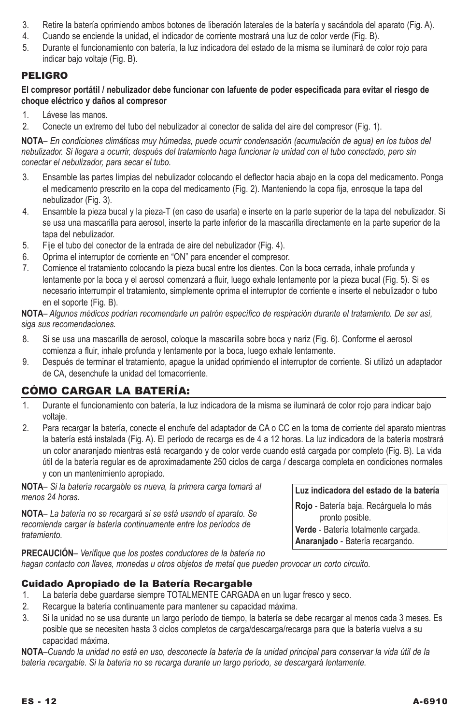- 3. Retire la batería oprimiendo ambos botones de liberación laterales de la batería y sacándola del aparato (Fig. A).
- 4. Cuando se enciende la unidad, el indicador de corriente mostrará una luz de color verde (Fig. B).
- 5. Durante el funcionamiento con batería, la luz indicadora del estado de la misma se iluminará de color rojo para indicar bajo voltaje (Fig. B).

## Peligro

**El compresor portátil / nebulizador debe funcionar con lafuente de poder especificada para evitar el riesgo de choque eléctrico y daños al compresor** 

- 1. Lávese las manos.
- 2. Conecte un extremo del tubo del nebulizador al conector de salida del aire del compresor (Fig. 1).

**NOTA***– En condiciones climáticas muy húmedas, puede ocurrir condensación (acumulación de agua) en los tubos del nebulizador. Si llegara a ocurrir, después del tratamiento haga funcionar la unidad con el tubo conectado, pero sin conectar el nebulizador, para secar el tubo.*

- 3. Ensamble las partes limpias del nebulizador colocando el deflector hacia abajo en la copa del medicamento. Ponga el medicamento prescrito en la copa del medicamento (Fig. 2). Manteniendo la copa fija, enrosque la tapa del nebulizador (Fig. 3).
- 4. Ensamble la pieza bucal y la pieza-T (en caso de usarla) e inserte en la parte superior de la tapa del nebulizador. Si se usa una mascarilla para aerosol, inserte la parte inferior de la mascarilla directamente en la parte superior de la tapa del nebulizador.
- 5. Fije el tubo del conector de la entrada de aire del nebulizador (Fig. 4).
- 6. Oprima el interruptor de corriente en "ON" para encender el compresor.
- 7. Comience el tratamiento colocando la pieza bucal entre los dientes. Con la boca cerrada, inhale profunda y lentamente por la boca y el aerosol comenzará a fluir, luego exhale lentamente por la pieza bucal (Fig. 5). Si es necesario interrumpir el tratamiento, simplemente oprima el interruptor de corriente e inserte el nebulizador o tubo en el soporte (Fig. B).

**NOTA***– Algunos médicos podrían recomendarle un patrón específico de respiración durante el tratamiento. De ser así, siga sus recomendaciones.*

- 8. Si se usa una mascarilla de aerosol, coloque la mascarilla sobre boca y nariz (Fig. 6). Conforme el aerosol comienza a fluir, inhale profunda y lentamente por la boca, luego exhale lentamente.
- 9. Después de terminar el tratamiento, apague la unidad oprimiendo el interruptor de corriente. Si utilizó un adaptador de CA, desenchufe la unidad del tomacorriente.

# Cómo Cargar la Batería:

- 1. Durante el funcionamiento con batería, la luz indicadora de la misma se iluminará de color rojo para indicar bajo voltaje.
- 2. Para recargar la batería, conecte el enchufe del adaptador de CA o CC en la toma de corriente del aparato mientras la batería está instalada (Fig. A). El período de recarga es de 4 a 12 horas. La luz indicadora de la batería mostrará un color anaranjado mientras está recargando y de color verde cuando está cargada por completo (Fig. B). La vida útil de la batería regular es de aproximadamente 250 ciclos de carga / descarga completa en condiciones normales y con un mantenimiento apropiado.

**NOTA***– Si la batería recargable es nueva, la primera carga tomará al menos 24 horas.*

**NOTA***– La batería no se recargará si se está usando el aparato. Se recomienda cargar la batería continuamente entre los períodos de tratamiento.*

**Luz indicadora del estado de la batería**

**Rojo** - Batería baja. Recárguela lo más pronto posible. **Verde** - Batería totalmente cargada. **Anaranjado** - Batería recargando.

**Precaución***– Verifique que los postes conductores de la batería no hagan contacto con llaves, monedas u otros objetos de metal que pueden provocar un corto circuito.*

## Cuidado Apropiado de la Batería Recargable

- 1. La batería debe guardarse siempre TOTALMENTE CARGADA en un lugar fresco y seco.
- 2. Recargue la batería continuamente para mantener su capacidad máxima.
- 3. Si la unidad no se usa durante un largo período de tiempo, la batería se debe recargar al menos cada 3 meses. Es posible que se necesiten hasta 3 ciclos completos de carga/descarga/recarga para que la batería vuelva a su capacidad máxima.

**NOTA***–Cuando la unidad no está en uso, desconecte la batería de la unidad principal para conservar la vida útil de la batería recargable. Si la batería no se recarga durante un largo período, se descargará lentamente.*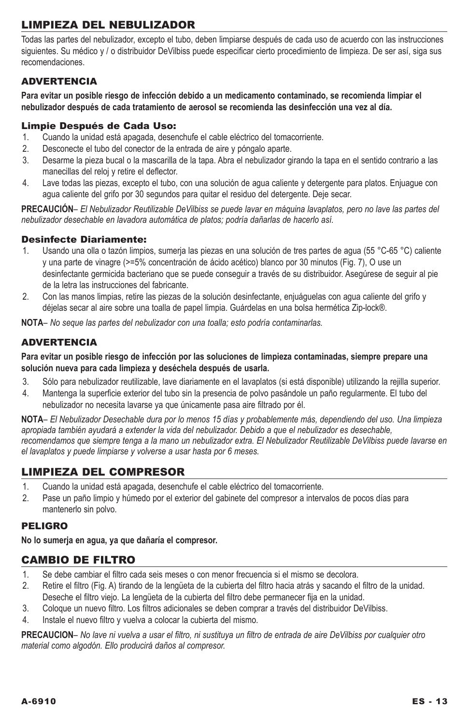# Limpieza del Nebulizador

Todas las partes del nebulizador, excepto el tubo, deben limpiarse después de cada uso de acuerdo con las instrucciones siguientes. Su médico y / o distribuidor DeVilbiss puede especificar cierto procedimiento de limpieza. De ser así, siga sus recomendaciones.

## ADVERTENCIA

**Para evitar un posible riesgo de infección debido a un medicamento contaminado, se recomienda limpiar el nebulizador después de cada tratamiento de aerosol se recomienda las desinfección una vez al día.**

### Limpie Después de Cada Uso:

- 1. Cuando la unidad está apagada, desenchufe el cable eléctrico del tomacorriente.
- 2. Desconecte el tubo del conector de la entrada de aire y póngalo aparte.
- 3. Desarme la pieza bucal o la mascarilla de la tapa. Abra el nebulizador girando la tapa en el sentido contrario a las manecillas del reloj y retire el deflector.
- 4. Lave todas las piezas, excepto el tubo, con una solución de agua caliente y detergente para platos. Enjuague con agua caliente del grifo por 30 segundos para quitar el residuo del detergente. Deje secar.

**Precaución***– El Nebulizador Reutilizable DeVilbiss se puede lavar en máquina lavaplatos, pero no lave las partes del nebulizador desechable en lavadora automática de platos; podría dañarlas de hacerlo así.*

## Desinfecte Diariamente:

- 1. Usando una olla o tazón limpios, sumerja las piezas en una solución de tres partes de agua (55 °C-65 °C) caliente y una parte de vinagre (>=5% concentración de ácido acético) blanco por 30 minutos (Fig. 7), O use un desinfectante germicida bacteriano que se puede conseguir a través de su distribuidor. Asegúrese de seguir al pie de la letra las instrucciones del fabricante.
- 2. Con las manos limpias, retire las piezas de la solución desinfectante, enjuáguelas con agua caliente del grifo y déjelas secar al aire sobre una toalla de papel limpia. Guárdelas en una bolsa hermética Zip-lock®.

**NOTA***– No seque las partes del nebulizador con una toalla; esto podría contaminarlas.*

## **ADVERTENCIA**

**Para evitar un posible riesgo de infección por las soluciones de limpieza contaminadas, siempre prepare una solución nueva para cada limpieza y deséchela después de usarla.**

- 3. Sólo para nebulizador reutilizable, lave diariamente en el lavaplatos (si está disponible) utilizando la rejilla superior.
- 4. Mantenga la superficie exterior del tubo sin la presencia de polvo pasándole un paño regularmente. El tubo del nebulizador no necesita lavarse ya que únicamente pasa aire filtrado por él.

**NOTA***– El Nebulizador Desechable dura por lo menos 15 días y probablemente más, dependiendo del uso. Una limpieza apropiada también ayudará a extender la vida del nebulizador. Debido a que el nebulizador es desechable,*  recomendamos que siempre tenga a la mano un nebulizador extra. El Nebulizador Reutilizable DeVilbiss puede lavarse en *el lavaplatos y puede limpiarse y volverse a usar hasta por 6 meses.*

## Limpieza del compresor

- 1. Cuando la unidad está apagada, desenchufe el cable eléctrico del tomacorriente.
- 2. Pase un paño limpio y húmedo por el exterior del gabinete del compresor a intervalos de pocos días para mantenerlo sin polvo.

### Peligro

**No lo sumerja en agua, ya que dañaría el compresor.**

## Cambio de filtro

- 1. Se debe cambiar el filtro cada seis meses o con menor frecuencia si el mismo se decolora.
- 2. Retire el filtro (Fig. A) tirando de la lengüeta de la cubierta del filtro hacia atrás y sacando el filtro de la unidad. Deseche el filtro viejo. La lengüeta de la cubierta del filtro debe permanecer fija en la unidad.
- 3. Coloque un nuevo filtro. Los filtros adicionales se deben comprar a través del distribuidor DeVilbiss.<br>4. Instale el nuevo filtro y vuelva a colocar la qubierta del mismo
- 4. Instale el nuevo filtro y vuelva a colocar la cubierta del mismo.

**PRECAUCION***– No lave ni vuelva a usar el filtro, ni sustituya un filtro de entrada de aire DeVilbiss por cualquier otro material como algodón. Ello producirá daños al compresor.*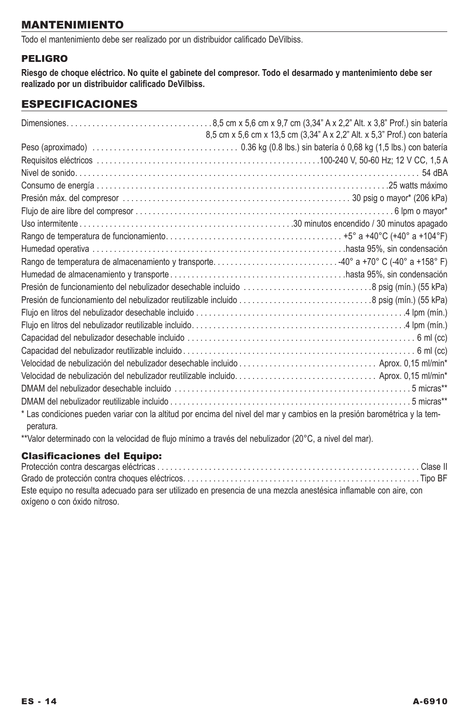## Mantenimiento

Todo el mantenimiento debe ser realizado por un distribuidor calificado DeVilbiss.

## Peligro

**Riesgo de choque eléctrico. No quite el gabinete del compresor. Todo el desarmado y mantenimiento debe ser realizado por un distribuidor calificado DeVilbiss.**

## especificaciones

|           | 8,5 cm x 5,6 cm x 13,5 cm (3,34" A x 2,2" Alt. x 5,3" Prof.) con batería                                                  |
|-----------|---------------------------------------------------------------------------------------------------------------------------|
|           |                                                                                                                           |
|           |                                                                                                                           |
|           |                                                                                                                           |
|           |                                                                                                                           |
|           |                                                                                                                           |
|           |                                                                                                                           |
|           |                                                                                                                           |
|           |                                                                                                                           |
|           |                                                                                                                           |
|           |                                                                                                                           |
|           |                                                                                                                           |
|           | Presión de funcionamiento del nebulizador desechable incluido 8 psig (mín.) (55 kPa)                                      |
|           |                                                                                                                           |
|           |                                                                                                                           |
|           |                                                                                                                           |
|           |                                                                                                                           |
|           |                                                                                                                           |
|           | Velocidad de nebulización del nebulizador desechable incluido  Aprox. 0.15 ml/min*                                        |
|           |                                                                                                                           |
|           |                                                                                                                           |
|           |                                                                                                                           |
| peratura. | * Las condiciones pueden variar con la altitud por encima del nivel del mar y cambios en la presión barométrica y la tem- |

\*\*Valor determinado con la velocidad de flujo mínimo a través del nebulizador (20°C, a nivel del mar).

## Clasificaciones del Equipo:

| Este equipo no resulta adecuado para ser utilizado en presencia de una mezcla anestésica inflamable con aire, con |  |
|-------------------------------------------------------------------------------------------------------------------|--|
| oxígeno o con óxido nitroso.                                                                                      |  |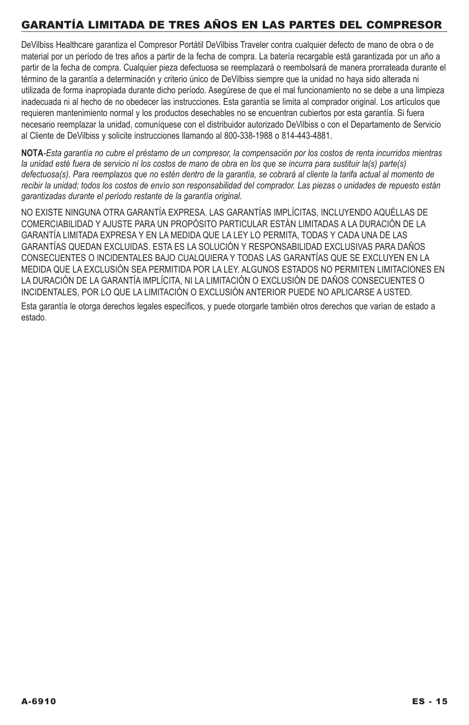# Garantía limitada de tres años en las partes del compresor

DeVilbiss Healthcare garantiza el Compresor Portátil DeVilbiss Traveler contra cualquier defecto de mano de obra o de material por un período de tres años a partir de la fecha de compra. La batería recargable está garantizada por un año a partir de la fecha de compra. Cualquier pieza defectuosa se reemplazará o reembolsará de manera prorrateada durante el término de la garantía a determinación y criterio único de DeVilbiss siempre que la unidad no haya sido alterada ni utilizada de forma inapropiada durante dicho período. Asegúrese de que el mal funcionamiento no se debe a una limpieza inadecuada ni al hecho de no obedecer las instrucciones. Esta garantía se limita al comprador original. Los artículos que requieren mantenimiento normal y los productos desechables no se encuentran cubiertos por esta garantía. Si fuera necesario reemplazar la unidad, comuníquese con el distribuidor autorizado DeVilbiss o con el Departamento de Servicio al Cliente de DeVilbiss y solicite instrucciones llamando al 800-338-1988 o 814-443-4881.

**NOTA***-Esta garantía no cubre el préstamo de un compresor, la compensación por los costos de renta incurridos mientras*  la unidad esté fuera de servicio ni los costos de mano de obra en los que se incurra para sustituir la(s) parte(s) *defectuosa(s). Para reemplazos que no estén dentro de la garantía, se cobrará al cliente la tarifa actual al momento de recibir la unidad; todos los costos de envío son responsabilidad del comprador. Las piezas o unidades de repuesto están garantizadas durante el período restante de la garantía original.* 

NO EXISTE NINGUNA OTRA GARANTÍA EXPRESA. LAS GARANTÍAS IMPLÍCITAS, INCLUYENDO AQUÉLLAS DE COMERCIABILIDAD Y AJUSTE PARA UN PROPÓSITO PARTICULAR ESTÁN LIMITADAS A LA DURACIÓN DE LA GARANTÍA LIMITADA EXPRESA Y EN LA MEDIDA QUE LA LEY LO PERMITA, TODAS Y CADA UNA DE LAS GARANTÍAS QUEDAN EXCLUIDAS. ESTA ES LA SOLUCIÓN Y RESPONSABILIDAD EXCLUSIVAS PARA DAÑOS CONSECUENTES O INCIDENTALES BAJO CUALQUIERA Y TODAS LAS GARANTÍAS QUE SE EXCLUYEN EN LA MEDIDA QUE LA EXCLUSIÓN SEA PERMITIDA POR LA LEY. ALGUNOS ESTADOS NO PERMITEN LIMITACIONES EN LA DURACIÓN DE LA GARANTÍA IMPLÍCITA, NI LA LIMITACIÓN O EXCLUSIÓN DE DAÑOS CONSECUENTES O INCIDENTALES, POR LO QUE LA LIMITACIÓN O EXCLUSIÓN ANTERIOR PUEDE NO APLICARSE A USTED. Esta garantía le otorga derechos legales específicos, y puede otorgarle también otros derechos que varían de estado a estado.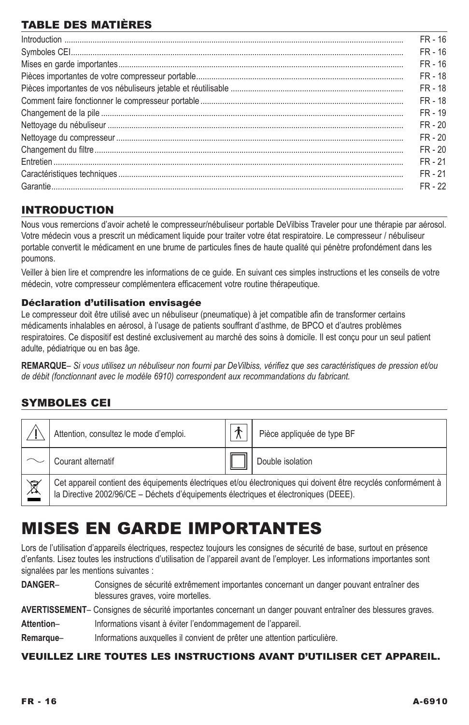# TABLE DES MATIÈRES

| $\label{prop:nonlinear} \textbf{Introduction} \,\, \ldots \,\, \ldots \,\, \ldots \,\, \ldots \,\, \ldots \,\, \ldots \,\, \ldots \,\, \ldots \,\, \ldots \,\, \ldots \,\, \ldots \,\, \ldots \,\, \ldots \,\, \ldots \,\, \ldots \,\, \ldots \,\, \ldots \,\, \ldots \,\, \ldots \,\, \ldots \,\, \ldots \,\, \ldots \,\, \ldots \,\, \ldots \,\, \ldots \,\, \ldots \,\, \ldots \,\, \ldots \,\, \ldots \,\, \ldots \,\, \ldots \,\, \ldots \,\, \ldots \,\, \ldots \,\$ | $FR - 16$ |
|----------------------------------------------------------------------------------------------------------------------------------------------------------------------------------------------------------------------------------------------------------------------------------------------------------------------------------------------------------------------------------------------------------------------------------------------------------------------------|-----------|
|                                                                                                                                                                                                                                                                                                                                                                                                                                                                            | $FR - 16$ |
|                                                                                                                                                                                                                                                                                                                                                                                                                                                                            | $FR - 16$ |
|                                                                                                                                                                                                                                                                                                                                                                                                                                                                            | $FR - 18$ |
|                                                                                                                                                                                                                                                                                                                                                                                                                                                                            | $FR - 18$ |
|                                                                                                                                                                                                                                                                                                                                                                                                                                                                            | FR - 18   |
|                                                                                                                                                                                                                                                                                                                                                                                                                                                                            | $FR - 19$ |
|                                                                                                                                                                                                                                                                                                                                                                                                                                                                            | $FR - 20$ |
|                                                                                                                                                                                                                                                                                                                                                                                                                                                                            | $FR - 20$ |
|                                                                                                                                                                                                                                                                                                                                                                                                                                                                            | $FR - 20$ |
|                                                                                                                                                                                                                                                                                                                                                                                                                                                                            | $FR - 21$ |
|                                                                                                                                                                                                                                                                                                                                                                                                                                                                            | FR - 21   |
|                                                                                                                                                                                                                                                                                                                                                                                                                                                                            | FR - 22   |

# INTRODUCTION

Nous vous remercions d'avoir acheté le compresseur/nébuliseur portable DeVilbiss Traveler pour une thérapie par aérosol. Votre médecin vous a prescrit un médicament liquide pour traiter votre état respiratoire. Le compresseur / nébuliseur portable convertit le médicament en une brume de particules fines de haute qualité qui pénètre profondément dans les poumons.

Veiller à bien lire et comprendre les informations de ce guide. En suivant ces simples instructions et les conseils de votre médecin, votre compresseur complémentera efficacement votre routine thérapeutique.

### Déclaration d'utilisation envisagée

Le compresseur doit être utilisé avec un nébuliseur (pneumatique) à jet compatible afin de transformer certains médicaments inhalables en aérosol, à l'usage de patients souffrant d'asthme, de BPCO et d'autres problèmes respiratoires. Ce dispositif est destiné exclusivement au marché des soins à domicile. Il est conçu pour un seul patient adulte, pédiatrique ou en bas âge.

**REMARQUE***– Si vous utilisez un nébuliseur non fourni par DeVilbiss, vérifiez que ses caractéristiques de pression et/ou de débit (fonctionnant avec le modèle 6910) correspondent aux recommandations du fabricant.*

## SYMBOLES CEI

|                          | Attention, consultez le mode d'emploi.                                                                                                                                                                 |  | Pièce appliquée de type BF |  |
|--------------------------|--------------------------------------------------------------------------------------------------------------------------------------------------------------------------------------------------------|--|----------------------------|--|
|                          | Courant alternatif                                                                                                                                                                                     |  | Double isolation           |  |
| $\underline{\mathbb{X}}$ | Cet appareil contient des équipements électriques et/ou électroniques qui doivent être recyclés conformément à<br>la Directive 2002/96/CE - Déchets d'équipements électriques et électroniques (DEEE). |  |                            |  |

# Mises en garde importantes

Lors de l'utilisation d'appareils électriques, respectez toujours les consignes de sécurité de base, surtout en présence d'enfants. Lisez toutes les instructions d'utilisation de l'appareil avant de l'employer. Les informations importantes sont signalées par les mentions suivantes :

**Danger**– Consignes de sécurité extrêmement importantes concernant un danger pouvant entraîner des blessures graves, voire mortelles.

**Avertissement**– Consignes de sécurité importantes concernant un danger pouvant entraîner des blessures graves.

Attention- **Informations visant à éviter l'endommagement de l'appareil.** 

Remarque– Informations auxquelles il convient de prêter une attention particulière.

### Veuillez lire toutes les instructions avant d'utiliser cet appareil.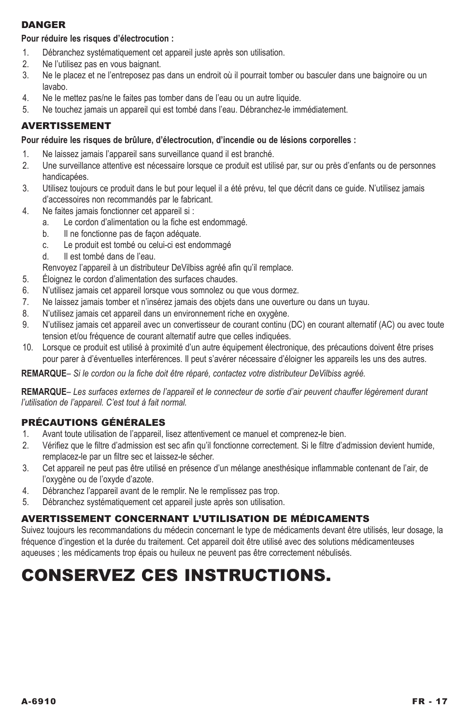## **DANGER**

### **Pour réduire les risques d'électrocution :**

- 1. Débranchez systématiquement cet appareil juste après son utilisation.
- 2. Ne l'utilisez pas en vous baignant.
- 3. Ne le placez et ne l'entreposez pas dans un endroit où il pourrait tomber ou basculer dans une baignoire ou un lavabo.
- 4. Ne le mettez pas/ne le faites pas tomber dans de l'eau ou un autre liquide.
- 5. Ne touchez jamais un appareil qui est tombé dans l'eau. Débranchez-le immédiatement.

## Avertissement

### **Pour réduire les risques de brûlure, d'électrocution, d'incendie ou de lésions corporelles :**

- 1. Ne laissez jamais l'appareil sans surveillance quand il est branché.
- 2. Une surveillance attentive est nécessaire lorsque ce produit est utilisé par, sur ou près d'enfants ou de personnes handicapées.
- 3. Utilisez toujours ce produit dans le but pour lequel il a été prévu, tel que décrit dans ce guide. N'utilisez jamais d'accessoires non recommandés par le fabricant.
- 4. Ne faites jamais fonctionner cet appareil si :
	- a. Le cordon d'alimentation ou la fiche est endommagé.
	- b. Il ne fonctionne pas de facon adéquate.
	- c. Le produit est tombé ou celui-ci est endommagé
	- d. Il est tombé dans de l'eau.
	- Renvoyez l'appareil à un distributeur DeVilbiss agréé afin qu'il remplace.
- 5. Éloignez le cordon d'alimentation des surfaces chaudes.
- 6. N'utilisez jamais cet appareil lorsque vous somnolez ou que vous dormez.
- 7. Ne laissez jamais tomber et n'insérez jamais des objets dans une ouverture ou dans un tuyau.
- 8. N'utilisez jamais cet appareil dans un environnement riche en oxygène.
- 9. N'utilisez jamais cet appareil avec un convertisseur de courant continu (DC) en courant alternatif (AC) ou avec toute tension et/ou fréquence de courant alternatif autre que celles indiquées.
- 10. Lorsque ce produit est utilisé à proximité d'un autre équipement électronique, des précautions doivent être prises pour parer à d'éventuelles interférences. Il peut s'avérer nécessaire d'éloigner les appareils les uns des autres.

**Remarque***– Si le cordon ou la fiche doit être réparé, contactez votre distributeur DeVilbiss agréé.*

**Remarque***– Les surfaces externes de l'appareil et le connecteur de sortie d'air peuvent chauffer légèrement durant l'utilisation de l'appareil. C'est tout à fait normal.*

## PRÉCAUTIONS GÉNÉRALES

- 1. Avant toute utilisation de l'appareil, lisez attentivement ce manuel et comprenez-le bien.
- 2. Vérifiez que le filtre d'admission est sec afin qu'il fonctionne correctement. Si le filtre d'admission devient humide, remplacez-le par un filtre sec et laissez-le sécher.
- 3. Cet appareil ne peut pas être utilisé en présence d'un mélange anesthésique inflammable contenant de l'air, de l'oxygène ou de l'oxyde d'azote.
- 4. Débranchez l'appareil avant de le remplir. Ne le remplissez pas trop.
- 5. Débranchez systématiquement cet appareil juste après son utilisation.

## AVERTISSEMENT CONCERNANT L'UTILISATION DE MÉDICAMENTS

Suivez toujours les recommandations du médecin concernant le type de médicaments devant être utilisés, leur dosage, la fréquence d'ingestion et la durée du traitement. Cet appareil doit être utilisé avec des solutions médicamenteuses aqueuses ; les médicaments trop épais ou huileux ne peuvent pas être correctement nébulisés.

# Conservez ces instructions.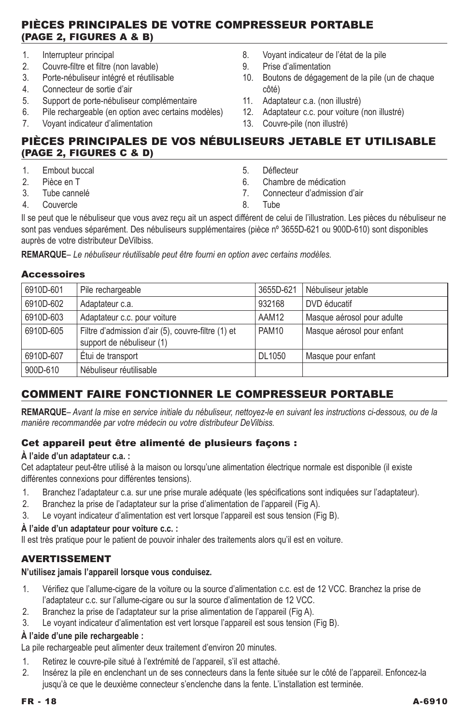## Pièces principales de votre compresseur portable (Page 2, Figures A & B)

- 1. Interrupteur principal
- 2. Couvre-filtre et filtre (non lavable)<br>3. Porte-nébuliseur intégré et réutilis.
- Porte-nébuliseur intégré et réutilisable
- 4. Connecteur de sortie d'air
- 5. Support de porte-nébuliseur complémentaire
- 6. Pile rechargeable (en option avec certains modèles)
- 7. Voyant indicateur d'alimentation
- 8. Voyant indicateur de l'état de la pile
- 9. Prise d'alimentation
- 10. Boutons de dégagement de la pile (un de chaque côté)
- 11. Adaptateur c.a. (non illustré)
- 12. Adaptateur c.c. pour voiture (non illustré)
- 13. Couvre-pile (non illustré)

## Pièces principales de vos nébuliseurs jetable et utilisable (Page 2, Figures C & D)

- 1. Embout buccal
- 2. Pièce en T
- 3. Tube cannelé
- 4. Couvercle
- 5. Déflecteur
- 6. Chambre de médication
- 7. Connecteur d'admission d'air
- 8. Tube

Il se peut que le nébuliseur que vous avez reçu ait un aspect différent de celui de l'illustration. Les pièces du nébuliseur ne sont pas vendues séparément. Des nébuliseurs supplémentaires (pièce nº 3655D-621 ou 900D-610) sont disponibles auprès de votre distributeur DeVilbiss.

**Remarque***– Le nébuliseur réutilisable peut être fourni en option avec certains modèles.*

### **Accessoires**

| 6910D-601 | Pile rechargeable                                                               | 3655D-621         | Nébuliseur jetable         |
|-----------|---------------------------------------------------------------------------------|-------------------|----------------------------|
| 6910D-602 | Adaptateur c.a.                                                                 | 932168            | DVD éducatif               |
| 6910D-603 | Adaptateur c.c. pour voiture                                                    | AAM12             | Masque aérosol pour adulte |
| 6910D-605 | Filtre d'admission d'air (5), couvre-filtre (1) et<br>support de nébuliseur (1) | PAM <sub>10</sub> | Masque aérosol pour enfant |
| 6910D-607 | Étui de transport                                                               | DL1050            | Masque pour enfant         |
| 900D-610  | Nébuliseur réutilisable                                                         |                   |                            |
|           |                                                                                 |                   |                            |

# Comment faire fonctionner le compresseur portable

**Remarque***– Avant la mise en service initiale du nébuliseur, nettoyez-le en suivant les instructions ci-dessous, ou de la manière recommandée par votre médecin ou votre distributeur DeVilbiss.*

### Cet appareil peut être alimenté de plusieurs façons :

### **À l'aide d'un adaptateur c.a. :**

Cet adaptateur peut-être utilisé à la maison ou lorsqu'une alimentation électrique normale est disponible (il existe différentes connexions pour différentes tensions).

- 1. Branchez l'adaptateur c.a. sur une prise murale adéquate (les spécifications sont indiquées sur l'adaptateur).
- 2. Branchez la prise de l'adaptateur sur la prise d'alimentation de l'appareil (Fig A).
- 3. Le voyant indicateur d'alimentation est vert lorsque l'appareil est sous tension (Fig B).

## **À l'aide d'un adaptateur pour voiture c.c. :**

Il est très pratique pour le patient de pouvoir inhaler des traitements alors qu'il est en voiture.

# AVERTISSEMENT

## **N'utilisez jamais l'appareil lorsque vous conduisez.**

- 1. Vérifiez que l'allume-cigare de la voiture ou la source d'alimentation c.c. est de 12 VCC. Branchez la prise de l'adaptateur c.c. sur l'allume-cigare ou sur la source d'alimentation de 12 VCC.
- 2. Branchez la prise de l'adaptateur sur la prise alimentation de l'appareil (Fig A).
- 3. Le voyant indicateur d'alimentation est vert lorsque l'appareil est sous tension (Fig B).

## **À l'aide d'une pile rechargeable :**

La pile rechargeable peut alimenter deux traitement d'environ 20 minutes.

- 1. Retirez le couvre-pile situé à l'extrémité de l'appareil, s'il est attaché.
- 2. Insérez la pile en enclenchant un de ses connecteurs dans la fente située sur le côté de l'appareil. Enfoncez-la jusqu'à ce que le deuxième connecteur s'enclenche dans la fente. L'installation est terminée.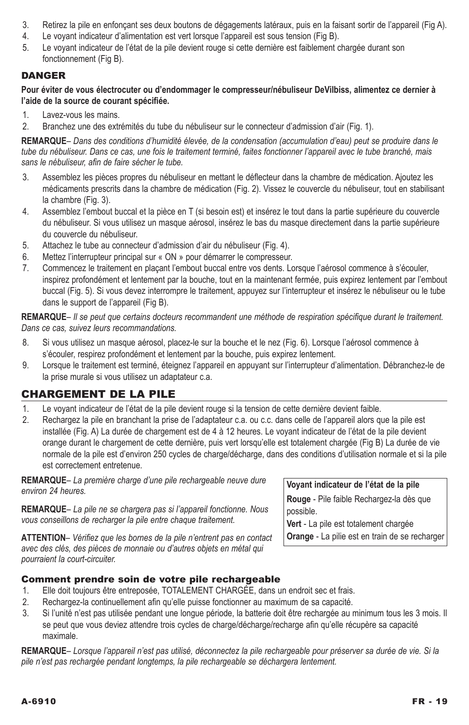- 3. Retirez la pile en enfonçant ses deux boutons de dégagements latéraux, puis en la faisant sortir de l'appareil (Fig A).
- 4. Le voyant indicateur d'alimentation est vert lorsque l'appareil est sous tension (Fig B).
- 5. Le voyant indicateur de l'état de la pile devient rouge si cette dernière est faiblement chargée durant son fonctionnement (Fig B).

## **DANGER**

**Pour éviter de vous électrocuter ou d'endommager le compresseur/nébuliseur DeVilbiss, alimentez ce dernier à l'aide de la source de courant spécifiée.**

- 1. Lavez-vous les mains.
- 2. Branchez une des extrémités du tube du nébuliseur sur le connecteur d'admission d'air (Fig. 1).

**Remarque***– Dans des conditions d'humidité élevée, de la condensation (accumulation d'eau) peut se produire dans le tube du nébuliseur. Dans ce cas, une fois le traitement terminé, faites fonctionner l'appareil avec le tube branché, mais sans le nébuliseur, afin de faire sécher le tube.*

- 3. Assemblez les pièces propres du nébuliseur en mettant le déflecteur dans la chambre de médication. Ajoutez les médicaments prescrits dans la chambre de médication (Fig. 2). Vissez le couvercle du nébuliseur, tout en stabilisant la chambre (Fig. 3).
- 4. Assemblez l'embout buccal et la pièce en T (si besoin est) et insérez le tout dans la partie supérieure du couvercle du nébuliseur. Si vous utilisez un masque aérosol, insérez le bas du masque directement dans la partie supérieure du couvercle du nébuliseur.
- 5. Attachez le tube au connecteur d'admission d'air du nébuliseur (Fig. 4).
- 6. Mettez l'interrupteur principal sur « ON » pour démarrer le compresseur.
- 7. Commencez le traitement en plaçant l'embout buccal entre vos dents. Lorsque l'aérosol commence à s'écouler, inspirez profondément et lentement par la bouche, tout en la maintenant fermée, puis expirez lentement par l'embout buccal (Fig. 5). Si vous devez interrompre le traitement, appuyez sur l'interrupteur et insérez le nébuliseur ou le tube dans le support de l'appareil (Fig B).

**Remarque***– Il se peut que certains docteurs recommandent une méthode de respiration spécifique durant le traitement. Dans ce cas, suivez leurs recommandations.*

- 8. Si vous utilisez un masque aérosol, placez-le sur la bouche et le nez (Fig. 6). Lorsque l'aérosol commence à s'écouler, respirez profondément et lentement par la bouche, puis expirez lentement.
- 9. Lorsque le traitement est terminé, éteignez l'appareil en appuyant sur l'interrupteur d'alimentation. Débranchez-le de la prise murale si vous utilisez un adaptateur c.a.

# Chargement de la pile

- 1. Le voyant indicateur de l'état de la pile devient rouge si la tension de cette dernière devient faible.
- 2. Rechargez la pile en branchant la prise de l'adaptateur c.a. ou c.c. dans celle de l'appareil alors que la pile est installée (Fig. A) La durée de chargement est de 4 à 12 heures. Le voyant indicateur de l'état de la pile devient orange durant le chargement de cette dernière, puis vert lorsqu'elle est totalement chargée (Fig B) La durée de vie normale de la pile est d'environ 250 cycles de charge/décharge, dans des conditions d'utilisation normale et si la pile est correctement entretenue.

**Remarque***– La première charge d'une pile rechargeable neuve dure environ 24 heures.*

**Remarque***– La pile ne se chargera pas si l'appareil fonctionne. Nous vous conseillons de recharger la pile entre chaque traitement.* 

**Attention***– Vérifiez que les bornes de la pile n'entrent pas en contact avec des clés, des pièces de monnaie ou d'autres objets en métal qui pourraient la court-circuiter.*

**Voyant indicateur de l'état de la pile Rouge** - Pile faible Rechargez-la dès que possible. **Vert** - La pile est totalement chargée

**Orange** - La pilie est en train de se recharger

### Comment prendre soin de votre pile rechargeable

- 1. Elle doit toujours être entreposée, TOTALEMENT CHARGÉE, dans un endroit sec et frais.
- 2. Rechargez-la continuellement afin qu'elle puisse fonctionner au maximum de sa capacité.
- 3. Si l'unité n'est pas utilisée pendant une longue période, la batterie doit être rechargée au minimum tous les 3 mois. Il se peut que vous deviez attendre trois cycles de charge/décharge/recharge afin qu'elle récupère sa capacité maximale.

**Remarque***– Lorsque l'appareil n'est pas utilisé, déconnectez la pile rechargeable pour préserver sa durée de vie. Si la pile n'est pas rechargée pendant longtemps, la pile rechargeable se déchargera lentement.*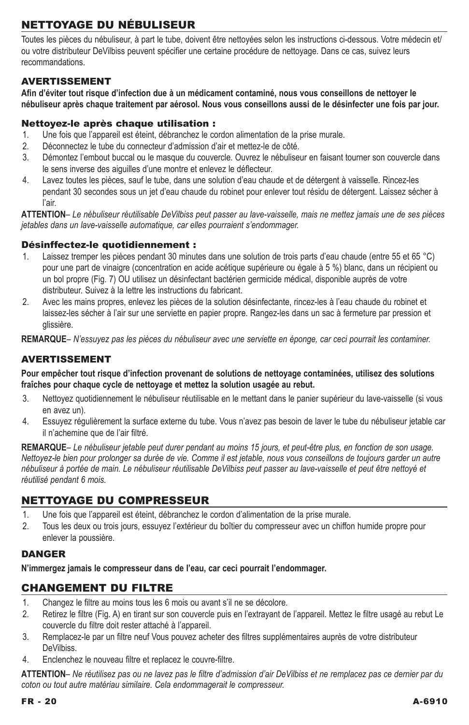# Nettoyage du nébuliseur

Toutes les pièces du nébuliseur, à part le tube, doivent être nettoyées selon les instructions ci-dessous. Votre médecin et/ ou votre distributeur DeVilbiss peuvent spécifier une certaine procédure de nettoyage. Dans ce cas, suivez leurs recommandations.

### Avertissement

**Afin d'éviter tout risque d'infection due à un médicament contaminé, nous vous conseillons de nettoyer le nébuliseur après chaque traitement par aérosol. Nous vous conseillons aussi de le désinfecter une fois par jour.**

### Nettoyez-le après chaque utilisation :

- 1. Une fois que l'appareil est éteint, débranchez le cordon alimentation de la prise murale.
- 2. Déconnectez le tube du connecteur d'admission d'air et mettez-le de côté.
- 3. Démontez l'embout buccal ou le masque du couvercle. Ouvrez le nébuliseur en faisant tourner son couvercle dans le sens inverse des aiguilles d'une montre et enlevez le déflecteur.
- 4. Lavez toutes les pièces, sauf le tube, dans une solution d'eau chaude et de détergent à vaisselle. Rincez-les pendant 30 secondes sous un jet d'eau chaude du robinet pour enlever tout résidu de détergent. Laissez sécher à l'air.

**Attention***– Le nébuliseur réutilisable DeVilbiss peut passer au lave-vaisselle, mais ne mettez jamais une de ses pièces jetables dans un lave-vaisselle automatique, car elles pourraient s'endommager.*

### Désinffectez-le quotidiennement :

- 1. Laissez tremper les pièces pendant 30 minutes dans une solution de trois parts d'eau chaude (entre 55 et 65 °C) pour une part de vinaigre (concentration en acide acétique supérieure ou égale à 5 %) blanc, dans un récipient ou un bol propre (Fig. 7) OU utilisez un désinfectant bactérien germicide médical, disponible auprès de votre distributeur. Suivez à la lettre les instructions du fabricant.
- 2. Avec les mains propres, enlevez les pièces de la solution désinfectante, rincez-les à l'eau chaude du robinet et laissez-les sécher à l'air sur une serviette en papier propre. Rangez-les dans un sac à fermeture par pression et glissière.

**Remarque***– N'essuyez pas les pièces du nébuliseur avec une serviette en éponge, car ceci pourrait les contaminer.*

## avertissement

**Pour empêcher tout risque d'infection provenant de solutions de nettoyage contaminées, utilisez des solutions fraîches pour chaque cycle de nettoyage et mettez la solution usagée au rebut.**

- 3. Nettoyez quotidiennement le nébuliseur réutilisable en le mettant dans le panier supérieur du lave-vaisselle (si vous en avez un).
- 4. Essuyez régulièrement la surface externe du tube. Vous n'avez pas besoin de laver le tube du nébuliseur jetable car il n'achemine que de l'air filtré.

**Remarque***– Le nébuliseur jetable peut durer pendant au moins 15 jours, et peut-être plus, en fonction de son usage. Nettoyez-le bien pour prolonger sa durée de vie. Comme il est jetable, nous vous conseillons de toujours garder un autre*  nébuliseur à portée de main. Le nébuliseur réutilisable DeVilbiss peut passer au lave-vaisselle et peut être nettoyé et *réutilisé pendant 6 mois.*

## Nettoyage du compresseur

- 1. Une fois que l'appareil est éteint, débranchez le cordon d'alimentation de la prise murale.
- 2. Tous les deux ou trois jours, essuyez l'extérieur du boîtier du compresseur avec un chiffon humide propre pour enlever la poussière.

### **DANGER**

**N'immergez jamais le compresseur dans de l'eau, car ceci pourrait l'endommager.**

## Changement du filtre

- 1. Changez le filtre au moins tous les 6 mois ou avant s'il ne se décolore.
- 2. Retirez le filtre (Fig. A) en tirant sur son couvercle puis en l'extrayant de l'appareil. Mettez le filtre usagé au rebut Le couvercle du filtre doit rester attaché à l'appareil.
- 3. Remplacez-le par un filtre neuf Vous pouvez acheter des filtres supplémentaires auprès de votre distributeur DeVilbiss.
- 4. Enclenchez le nouveau filtre et replacez le couvre-filtre.

**Attention***– Ne réutilisez pas ou ne lavez pas le filtre d'admission d'air DeVilbiss et ne remplacez pas ce dernier par du coton ou tout autre matériau similaire. Cela endommagerait le compresseur.*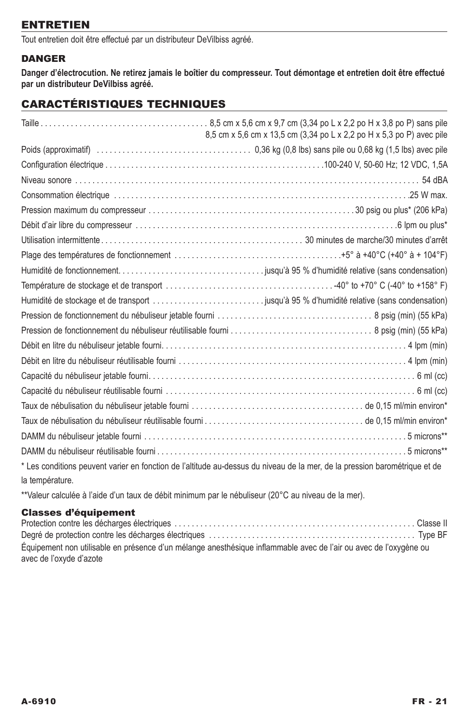## **ENTRETIEN**

Tout entretien doit être effectué par un distributeur DeVilbiss agréé.

## **DANGER**

**Danger d'électrocution. Ne retirez jamais le boîtier du compresseur. Tout démontage et entretien doit être effectué par un distributeur DeVilbiss agréé.**

## Caractéristiques techniques

|                 | 8,5 cm x 5,6 cm x 13,5 cm (3,34 po L x 2,2 po H x 5,3 po P) avec pile                                                      |
|-----------------|----------------------------------------------------------------------------------------------------------------------------|
|                 |                                                                                                                            |
|                 |                                                                                                                            |
|                 |                                                                                                                            |
|                 |                                                                                                                            |
|                 |                                                                                                                            |
|                 |                                                                                                                            |
|                 |                                                                                                                            |
|                 |                                                                                                                            |
|                 |                                                                                                                            |
|                 |                                                                                                                            |
|                 |                                                                                                                            |
|                 |                                                                                                                            |
|                 |                                                                                                                            |
|                 |                                                                                                                            |
|                 |                                                                                                                            |
|                 |                                                                                                                            |
|                 |                                                                                                                            |
|                 |                                                                                                                            |
|                 |                                                                                                                            |
|                 |                                                                                                                            |
|                 |                                                                                                                            |
|                 | * Les conditions peuvent varier en fonction de l'altitude au-dessus du niveau de la mer, de la pression barométrique et de |
| la température. |                                                                                                                            |

\*\*Valeur calculée à l'aide d'un taux de débit minimum par le nébuliseur (20°C au niveau de la mer).

## Classes d'équipement

| Équipement non utilisable en présence d'un mélange anesthésique inflammable avec de l'air ou avec de l'oxygène ou |  |
|-------------------------------------------------------------------------------------------------------------------|--|
| avec de l'oxyde d'azote                                                                                           |  |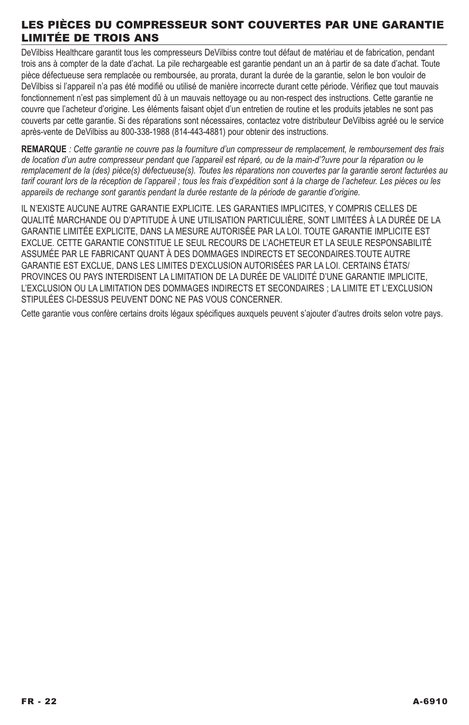## Les pièces du compresseur sont couvertes par une garantie limitée de trois ans

DeVilbiss Healthcare garantit tous les compresseurs DeVilbiss contre tout défaut de matériau et de fabrication, pendant trois ans à compter de la date d'achat. La pile rechargeable est garantie pendant un an à partir de sa date d'achat. Toute pièce défectueuse sera remplacée ou remboursée, au prorata, durant la durée de la garantie, selon le bon vouloir de DeVilbiss si l'appareil n'a pas été modifié ou utilisé de manière incorrecte durant cette période. Vérifiez que tout mauvais fonctionnement n'est pas simplement dû à un mauvais nettoyage ou au non-respect des instructions. Cette garantie ne couvre que l'acheteur d'origine. Les éléments faisant objet d'un entretien de routine et les produits jetables ne sont pas couverts par cette garantie. Si des réparations sont nécessaires, contactez votre distributeur DeVilbiss agréé ou le service après-vente de DeVilbiss au 800-338-1988 (814-443-4881) pour obtenir des instructions.

**REMARQUE** *: Cette garantie ne couvre pas la fourniture d'un compresseur de remplacement, le remboursement des frais de location d'un autre compresseur pendant que l'appareil est réparé, ou de la main-d'?uvre pour la réparation ou le remplacement de la (des) pièce(s) défectueuse(s). Toutes les réparations non couvertes par la garantie seront facturées au tarif courant lors de la réception de l'appareil ; tous les frais d'expédition sont à la charge de l'acheteur. Les pièces ou les appareils de rechange sont garantis pendant la durée restante de la période de garantie d'origine.* 

IL N'EXISTE AUCUNE AUTRE GARANTIE EXPLICITE. LES GARANTIES IMPLICITES, Y COMPRIS CELLES DE QUALITÉ MARCHANDE OU D'APTITUDE À UNE UTILISATION PARTICULIÈRE, SONT LIMITÉES À LA DURÉE DE LA GARANTIE LIMITÉE EXPLICITE, DANS LA MESURE AUTORISÉE PAR LA LOI. TOUTE GARANTIE IMPLICITE EST EXCLUE. CETTE GARANTIE CONSTITUE LE SEUL RECOURS DE L'ACHETEUR ET LA SEULE RESPONSABILITÉ ASSUMÉE PAR LE FABRICANT QUANT À DES DOMMAGES INDIRECTS ET SECONDAIRES.TOUTE AUTRE GARANTIE EST EXCLUE, DANS LES LIMITES D'EXCLUSION AUTORISÉES PAR LA LOI. CERTAINS ÉTATS/ PROVINCES OU PAYS INTERDISENT LA LIMITATION DE LA DURÉE DE VALIDITÉ D'UNE GARANTIE IMPLICITE, L'EXCLUSION OU LA LIMITATION DES DOMMAGES INDIRECTS ET SECONDAIRES ; LA LIMITE ET L'EXCLUSION STIPULÉES CI-DESSUS PEUVENT DONC NE PAS VOUS CONCERNER.

Cette garantie vous confère certains droits légaux spécifiques auxquels peuvent s'ajouter d'autres droits selon votre pays.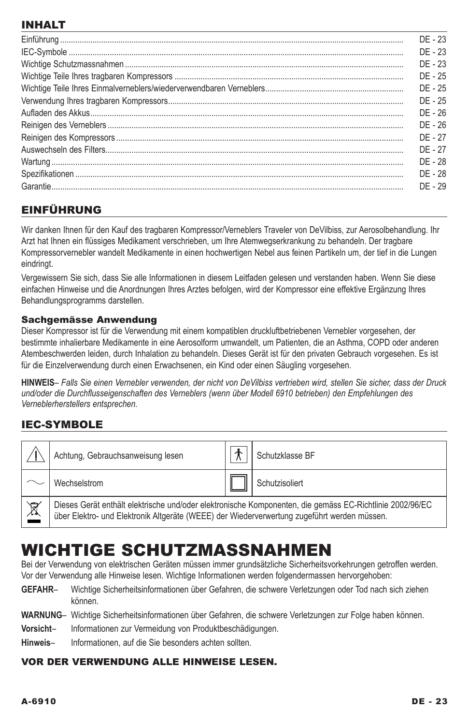# INHALT

| $DF - 23$ |
|-----------|
| $DF - 23$ |
| $DF - 23$ |
| DF - 25   |
| DF - 25   |
| DF - 25   |
| DE - 26   |
| DF - 26   |
| DF - 27   |
| DF - 27   |
| DE - 28   |
| DE - 28   |
| DF-29     |

# EINFÜHRUNG

Wir danken Ihnen für den Kauf des tragbaren Kompressor/Verneblers Traveler von DeVilbiss, zur Aerosolbehandlung. Ihr Arzt hat Ihnen ein flüssiges Medikament verschrieben, um Ihre Atemwegserkrankung zu behandeln. Der tragbare Kompressorvernebler wandelt Medikamente in einen hochwertigen Nebel aus feinen Partikeln um, der tief in die Lungen eindringt.

Vergewissern Sie sich, dass Sie alle Informationen in diesem Leitfaden gelesen und verstanden haben. Wenn Sie diese einfachen Hinweise und die Anordnungen Ihres Arztes befolgen, wird der Kompressor eine effektive Ergänzung Ihres Behandlungsprogramms darstellen.

### Sachgemässe Anwendung

Dieser Kompressor ist für die Verwendung mit einem kompatiblen druckluftbetriebenen Vernebler vorgesehen, der bestimmte inhalierbare Medikamente in eine Aerosolform umwandelt, um Patienten, die an Asthma, COPD oder anderen Atembeschwerden leiden, durch Inhalation zu behandeln. Dieses Gerät ist für den privaten Gebrauch vorgesehen. Es ist für die Einzelverwendung durch einen Erwachsenen, ein Kind oder einen Säugling vorgesehen.

**HINWEIS***– Falls Sie einen Vernebler verwenden, der nicht von DeVilbiss vertrieben wird, stellen Sie sicher, dass der Druck und/oder die Durchflusseigenschaften des Verneblers (wenn über Modell 6910 betrieben) den Empfehlungen des Verneblerherstellers entsprechen.*

# IEC-SYMBOLE

|                        | Achtung, Gebrauchsanweisung lesen                                                                                                                                                                       |  | Schutzklasse BF |  |
|------------------------|---------------------------------------------------------------------------------------------------------------------------------------------------------------------------------------------------------|--|-----------------|--|
|                        | Wechselstrom                                                                                                                                                                                            |  | Schutzisoliert  |  |
| $\frac{\mathbb{X}}{2}$ | Dieses Gerät enthält elektrische und/oder elektronische Komponenten, die gemäss EC-Richtlinie 2002/96/EC<br>über Elektro- und Elektronik Altgeräte (WEEE) der Wiederverwertung zugeführt werden müssen. |  |                 |  |

# Wichtige Schutzmassnahmen

Bei der Verwendung von elektrischen Geräten müssen immer grundsätzliche Sicherheitsvorkehrungen getroffen werden. Vor der Verwendung alle Hinweise lesen. Wichtige Informationen werden folgendermassen hervorgehoben:

- **Gefahr** Wichtige Sicherheitsinformationen über Gefahren, die schwere Verletzungen oder Tod nach sich ziehen können.
- **Warnung** Wichtige Sicherheitsinformationen über Gefahren, die schwere Verletzungen zur Folge haben können.
- **Vorsicht** Informationen zur Vermeidung von Produktbeschädigungen.
- **Hinweis** Informationen, auf die Sie besonders achten sollten.

## Vor der Verwendung alle Hinweise lesen.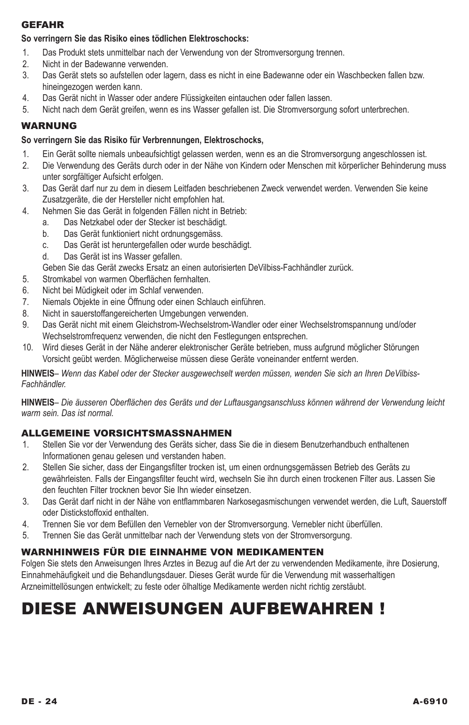### **GEFAHR**

### **So verringern Sie das Risiko eines tödlichen Elektroschocks:**

- 1. Das Produkt stets unmittelbar nach der Verwendung von der Stromversorgung trennen.
- 2. Nicht in der Badewanne verwenden.
- 3. Das Gerät stets so aufstellen oder lagern, dass es nicht in eine Badewanne oder ein Waschbecken fallen bzw. hineingezogen werden kann.
- 4. Das Gerät nicht in Wasser oder andere Flüssigkeiten eintauchen oder fallen lassen.
- 5. Nicht nach dem Gerät greifen, wenn es ins Wasser gefallen ist. Die Stromversorgung sofort unterbrechen.

### Warnung

#### **So verringern Sie das Risiko für Verbrennungen, Elektroschocks,**

- 1. Ein Gerät sollte niemals unbeaufsichtigt gelassen werden, wenn es an die Stromversorgung angeschlossen ist.
- 2. Die Verwendung des Geräts durch oder in der Nähe von Kindern oder Menschen mit körperlicher Behinderung muss unter sorgfältiger Aufsicht erfolgen.
- 3. Das Gerät darf nur zu dem in diesem Leitfaden beschriebenen Zweck verwendet werden. Verwenden Sie keine Zusatzgeräte, die der Hersteller nicht empfohlen hat.
- 4. Nehmen Sie das Gerät in folgenden Fällen nicht in Betrieb:
	- a. Das Netzkabel oder der Stecker ist beschädigt.
	- b. Das Gerät funktioniert nicht ordnungsgemäss.
	- c. Das Gerät ist heruntergefallen oder wurde beschädigt.
	- d. Das Gerät ist ins Wasser gefallen.
	- Geben Sie das Gerät zwecks Ersatz an einen autorisierten DeVilbiss-Fachhändler zurück.
- 5. Stromkabel von warmen Oberflächen fernhalten.
- 6. Nicht bei Müdigkeit oder im Schlaf verwenden.
- 7. Niemals Objekte in eine Öffnung oder einen Schlauch einführen.
- 8. Nicht in sauerstoffangereicherten Umgebungen verwenden.
- 9. Das Gerät nicht mit einem Gleichstrom-Wechselstrom-Wandler oder einer Wechselstromspannung und/oder Wechselstromfrequenz verwenden, die nicht den Festlegungen entsprechen.
- 10. Wird dieses Gerät in der Nähe anderer elektronischer Geräte betrieben, muss aufgrund möglicher Störungen Vorsicht geübt werden. Möglicherweise müssen diese Geräte voneinander entfernt werden.

**Hinweis***– Wenn das Kabel oder der Stecker ausgewechselt werden müssen, wenden Sie sich an Ihren DeVilbiss-Fachhändler.*

**Hinweis***– Die äusseren Oberflächen des Geräts und der Luftausgangsanschluss können während der Verwendung leicht warm sein. Das ist normal.*

### ALLGEMEINE VORSICHTSMASSNAHMEN

- 1. Stellen Sie vor der Verwendung des Geräts sicher, dass Sie die in diesem Benutzerhandbuch enthaltenen Informationen genau gelesen und verstanden haben.
- 2. Stellen Sie sicher, dass der Eingangsfilter trocken ist, um einen ordnungsgemässen Betrieb des Geräts zu gewährleisten. Falls der Eingangsfilter feucht wird, wechseln Sie ihn durch einen trockenen Filter aus. Lassen Sie den feuchten Filter trocknen bevor Sie Ihn wieder einsetzen.
- 3. Das Gerät darf nicht in der Nähe von entflammbaren Narkosegasmischungen verwendet werden, die Luft, Sauerstoff oder Distickstoffoxid enthalten.
- 4. Trennen Sie vor dem Befüllen den Vernebler von der Stromversorgung. Vernebler nicht überfüllen.
- 5. Trennen Sie das Gerät unmittelbar nach der Verwendung stets von der Stromversorgung.

### WARNHINWEIS FÜR DIE EINNAHME VON MEDIKAMENTEN

Folgen Sie stets den Anweisungen Ihres Arztes in Bezug auf die Art der zu verwendenden Medikamente, ihre Dosierung, Einnahmehäufigkeit und die Behandlungsdauer. Dieses Gerät wurde für die Verwendung mit wasserhaltigen Arzneimittellösungen entwickelt; zu feste oder ölhaltige Medikamente werden nicht richtig zerstäubt.

# Diese Anweisungen aufbewahren !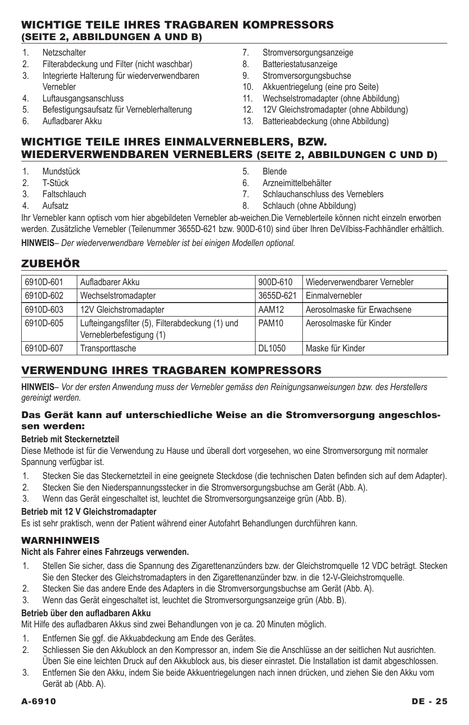## Wichtige Teile Ihres tragbaren Kompressors (Seite 2, Abbildungen A und B)

- 1. Netzschalter<br>2 Filterabdecki
- Filterabdeckung und Filter (nicht waschbar)
- 3. Integrierte Halterung für wiederverwendbaren Vernebler
- 4. Luftausgangsanschluss
- 5. Befestigungsaufsatz für Verneblerhalterung
- 6. Aufladbarer Akku
- 7. Stromversorgungsanzeige
- 8. Batteriestatusanzeige
- 9. Stromversorgungsbuchse
- 10. Akkuentriegelung (eine pro Seite)
- 11. Wechselstromadapter (ohne Abbildung)
- 12. 12V Gleichstromadapter (ohne Abbildung)
- 13. Batterieabdeckung (ohne Abbildung)

## Wichtige Teile Ihres Einmalverneblers, bzw. wiederverwendbaren Verneblers (seite 2, Abbildungen C und D)

- 1. Mundstück
- 2. T-Stück
- 3. Faltschlauch
- 4. Aufsatz
- 5. Blende
- 6. Arzneimittelbehälter
- 7. Schlauchanschluss des Verneblers
- 8. Schlauch (ohne Abbildung)

Ihr Vernebler kann optisch vom hier abgebildeten Vernebler ab-weichen.Die Verneblerteile können nicht einzeln erworben werden. Zusätzliche Vernebler (Teilenummer 3655D-621 bzw. 900D-610) sind über Ihren DeVilbiss-Fachhändler erhältlich.

**Hinweis***– Der wiederverwendbare Vernebler ist bei einigen Modellen optional.*

## **ZUBEHÖR**

| 6910D-601 | Aufladbarer Akku                                                            | 900D-610  | Wiederverwendbarer Vernebler |
|-----------|-----------------------------------------------------------------------------|-----------|------------------------------|
| 6910D-602 | Wechselstromadapter                                                         | 3655D-621 | Einmalvernebler              |
| 6910D-603 | 12V Gleichstromadapter                                                      | AAM12     | Aerosolmaske für Erwachsene  |
| 6910D-605 | Lufteingangsfilter (5), Filterabdeckung (1) und<br>Verneblerbefestigung (1) | PAM10     | Aerosolmaske für Kinder      |
| 6910D-607 | Transporttasche                                                             | DL1050    | Maske für Kinder             |

## Verwendung Ihres tragbaren Kompressors

**Hinweis***– Vor der ersten Anwendung muss der Vernebler gemäss den Reinigungsanweisungen bzw. des Herstellers gereinigt werden.*

### Das Gerät kann auf unterschiedliche Weise an die Stromversorgung angeschlossen werden:

### **Betrieb mit Steckernetzteil**

Diese Methode ist für die Verwendung zu Hause und überall dort vorgesehen, wo eine Stromversorgung mit normaler Spannung verfügbar ist.

- 1. Stecken Sie das Steckernetzteil in eine geeignete Steckdose (die technischen Daten befinden sich auf dem Adapter).
- 2. Stecken Sie den Niederspannungsstecker in die Stromversorgungsbuchse am Gerät (Abb. A).
- 3. Wenn das Gerät eingeschaltet ist, leuchtet die Stromversorgungsanzeige grün (Abb. B).

# **Betrieb mit 12 V Gleichstromadapter**

Es ist sehr praktisch, wenn der Patient während einer Autofahrt Behandlungen durchführen kann.

## WARNHINWEIS

## **Nicht als Fahrer eines Fahrzeugs verwenden.**

- 1. Stellen Sie sicher, dass die Spannung des Zigarettenanzünders bzw. der Gleichstromquelle 12 VDC beträgt. Stecken Sie den Stecker des Gleichstromadapters in den Zigarettenanzünder bzw. in die 12-V-Gleichstromquelle.
- 2. Stecken Sie das andere Ende des Adapters in die Stromversorgungsbuchse am Gerät (Abb. A).
- 3. Wenn das Gerät eingeschaltet ist, leuchtet die Stromversorgungsanzeige grün (Abb. B).

### **Betrieb über den aufladbaren Akku**

Mit Hilfe des aufladbaren Akkus sind zwei Behandlungen von je ca. 20 Minuten möglich.

- 1. Entfernen Sie ggf. die Akkuabdeckung am Ende des Gerätes.
- 2. Schliessen Sie den Akkublock an den Kompressor an, indem Sie die Anschlüsse an der seitlichen Nut ausrichten. Üben Sie eine leichten Druck auf den Akkublock aus, bis dieser einrastet. Die Installation ist damit abgeschlossen.
- 3. Entfernen Sie den Akku, indem Sie beide Akkuentriegelungen nach innen drücken, und ziehen Sie den Akku vom Gerät ab (Abb. A).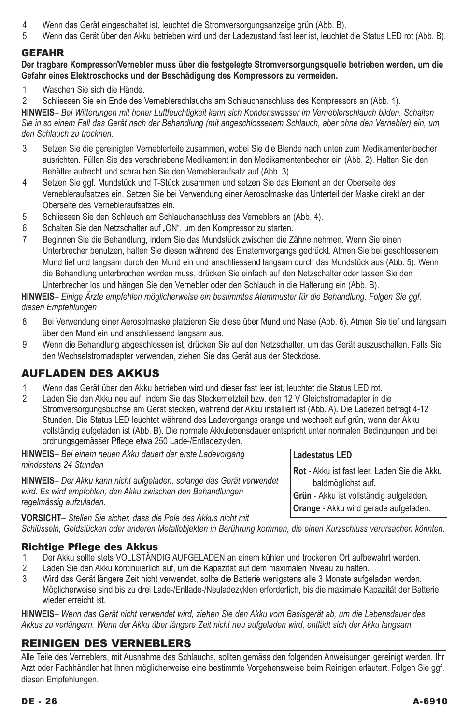- 4. Wenn das Gerät eingeschaltet ist, leuchtet die Stromversorgungsanzeige grün (Abb. B).
- 5. Wenn das Gerät über den Akku betrieben wird und der Ladezustand fast leer ist, leuchtet die Status LED rot (Abb. B).

## **GEFAHR**

### **Der tragbare Kompressor/Vernebler muss über die festgelegte Stromversorgungsquelle betrieben werden, um die Gefahr eines Elektroschocks und der Beschädigung des Kompressors zu vermeiden.**

- 1. Waschen Sie sich die Hände.
- 2. Schliessen Sie ein Ende des Verneblerschlauchs am Schlauchanschluss des Kompressors an (Abb. 1).

**Hinweis***– Bei Witterungen mit hoher Luftfeuchtigkeit kann sich Kondenswasser im Verneblerschlauch bilden. Schalten Sie in so einem Fall das Gerät nach der Behandlung (mit angeschlossenem Schlauch, aber ohne den Vernebler) ein, um den Schlauch zu trocknen.*

- 3. Setzen Sie die gereinigten Verneblerteile zusammen, wobei Sie die Blende nach unten zum Medikamentenbecher ausrichten. Füllen Sie das verschriebene Medikament in den Medikamentenbecher ein (Abb. 2). Halten Sie den Behälter aufrecht und schrauben Sie den Vernebleraufsatz auf (Abb. 3).
- 4. Setzen Sie ggf. Mundstück und T-Stück zusammen und setzen Sie das Element an der Oberseite des Vernebleraufsatzes ein. Setzen Sie bei Verwendung einer Aerosolmaske das Unterteil der Maske direkt an der Oberseite des Vernebleraufsatzes ein.
- 5. Schliessen Sie den Schlauch am Schlauchanschluss des Verneblers an (Abb. 4).<br>6. Schalten Sie den Netzschalter auf. ON" um den Kompressor zu starten.
- Schalten Sie den Netzschalter auf "ON", um den Kompressor zu starten.
- 7. Beginnen Sie die Behandlung, indem Sie das Mundstück zwischen die Zähne nehmen. Wenn Sie einen Unterbrecher benutzen, halten Sie diesen während des Einatemvorgangs gedrückt. Atmen Sie bei geschlossenem Mund tief und langsam durch den Mund ein und anschliessend langsam durch das Mundstück aus (Abb. 5). Wenn die Behandlung unterbrochen werden muss, drücken Sie einfach auf den Netzschalter oder lassen Sie den Unterbrecher los und hängen Sie den Vernebler oder den Schlauch in die Halterung ein (Abb. B).

**Hinweis***– Einige Ärzte empfehlen möglicherweise ein bestimmtes Atemmuster für die Behandlung. Folgen Sie ggf. diesen Empfehlungen*

- 8. Bei Verwendung einer Aerosolmaske platzieren Sie diese über Mund und Nase (Abb. 6). Atmen Sie tief und langsam über den Mund ein und anschliessend langsam aus.
- 9. Wenn die Behandlung abgeschlossen ist, drücken Sie auf den Netzschalter, um das Gerät auszuschalten. Falls Sie den Wechselstromadapter verwenden, ziehen Sie das Gerät aus der Steckdose.

## Aufladen des Akkus

- 1. Wenn das Gerät über den Akku betrieben wird und dieser fast leer ist, leuchtet die Status LED rot.<br>2. Laden Sie den Akku neu auf, indem Sie das Steckernetzteil bzw. den 12 V Gleichstromadapter in d
- 2. Laden Sie den Akku neu auf, indem Sie das Steckernetzteil bzw. den 12 V Gleichstromadapter in die Stromversorgungsbuchse am Gerät stecken, während der Akku installiert ist (Abb. A). Die Ladezeit beträgt 4-12 Stunden. Die Status LED leuchtet während des Ladevorgangs orange und wechselt auf grün, wenn der Akku vollständig aufgeladen ist (Abb. B). Die normale Akkulebensdauer entspricht unter normalen Bedingungen und bei ordnungsgemässer Pflege etwa 250 Lade-/Entladezyklen.

**Hinweis***– Bei einem neuen Akku dauert der erste Ladevorgang mindestens 24 Stunden*

**Hinweis***– Der Akku kann nicht aufgeladen, solange das Gerät verwendet wird. Es wird empfohlen, den Akku zwischen den Behandlungen regelmässig aufzuladen.* 

## **Ladestatus LED**

**Rot** - Akku ist fast leer. Laden Sie die Akku baldmöglichst auf.

**Grün** - Akku ist vollständig aufgeladen. **Orange** - Akku wird gerade aufgeladen.

**Vorsicht***– Stellen Sie sicher, dass die Pole des Akkus nicht mit Schlüsseln, Geldstücken oder anderen Metallobjekten in Berührung kommen, die einen Kurzschluss verursachen könnten.*

# **Richtige Pflege des Akkus**<br>1. Der Akku sollte stets VOLLSTÄND

- 1. Der Akku sollte stets VOLLSTÄNDIG AUFGELADEN an einem kühlen und trockenen Ort aufbewahrt werden.<br>2. Laden Sie den Akku kontinuierlich auf. um die Kapazität auf dem maximalen Niveau zu halten.
- 2. Laden Sie den Akku kontinuierlich auf, um die Kapazität auf dem maximalen Niveau zu halten.
- 3. Wird das Gerät längere Zeit nicht verwendet, sollte die Batterie wenigstens alle 3 Monate aufgeladen werden. Möglicherweise sind bis zu drei Lade-/Entlade-/Neuladezyklen erforderlich, bis die maximale Kapazität der Batterie wieder erreicht ist.

**Hinweis***– Wenn das Gerät nicht verwendet wird, ziehen Sie den Akku vom Basisgerät ab, um die Lebensdauer des Akkus zu verlängern. Wenn der Akku über längere Zeit nicht neu aufgeladen wird, entlädt sich der Akku langsam.*

## Reinigen des Verneblers

Alle Teile des Verneblers, mit Ausnahme des Schlauchs, sollten gemäss den folgenden Anweisungen gereinigt werden. Ihr Arzt oder Fachhändler hat Ihnen möglicherweise eine bestimmte Vorgehensweise beim Reinigen erläutert. Folgen Sie ggf. diesen Empfehlungen.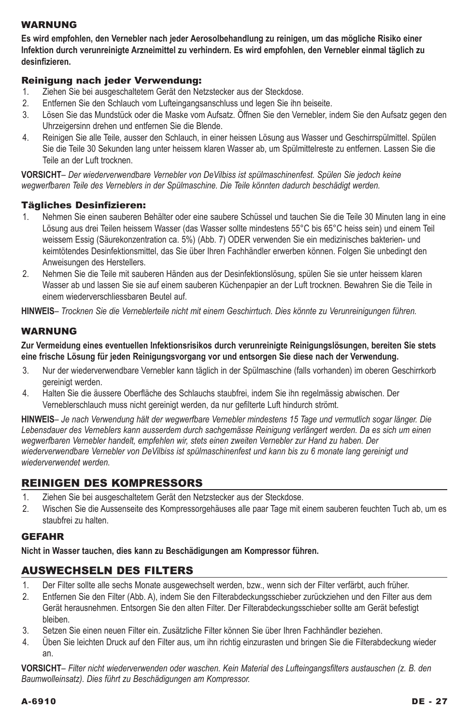### Warnung

**Es wird empfohlen, den Vernebler nach jeder Aerosolbehandlung zu reinigen, um das mögliche Risiko einer Infektion durch verunreinigte Arzneimittel zu verhindern. Es wird empfohlen, den Vernebler einmal täglich zu desinfizieren.**

### Reinigung nach jeder Verwendung:

- 1. Ziehen Sie bei ausgeschaltetem Gerät den Netzstecker aus der Steckdose.
- 2. Entfernen Sie den Schlauch vom Lufteingangsanschluss und legen Sie ihn beiseite.
- 3. Lösen Sie das Mundstück oder die Maske vom Aufsatz. Öffnen Sie den Vernebler, indem Sie den Aufsatz gegen den Uhrzeigersinn drehen und entfernen Sie die Blende.
- 4. Reinigen Sie alle Teile, ausser den Schlauch, in einer heissen Lösung aus Wasser und Geschirrspülmittel. Spülen Sie die Teile 30 Sekunden lang unter heissem klaren Wasser ab, um Spülmittelreste zu entfernen. Lassen Sie die Teile an der Luft trocknen.

**Vorsicht***– Der wiederverwendbare Vernebler von DeVilbiss ist spülmaschinenfest. Spülen Sie jedoch keine wegwerfbaren Teile des Verneblers in der Spülmaschine. Die Teile könnten dadurch beschädigt werden.*

### Tägliches Desinfizieren:

- 1. Nehmen Sie einen sauberen Behälter oder eine saubere Schüssel und tauchen Sie die Teile 30 Minuten lang in eine Lösung aus drei Teilen heissem Wasser (das Wasser sollte mindestens 55°C bis 65°C heiss sein) und einem Teil weissem Essig (Säurekonzentration ca. 5%) (Abb. 7) ODER verwenden Sie ein medizinisches bakterien- und keimtötendes Desinfektionsmittel, das Sie über Ihren Fachhändler erwerben können. Folgen Sie unbedingt den Anweisungen des Herstellers.
- 2. Nehmen Sie die Teile mit sauberen Händen aus der Desinfektionslösung, spülen Sie sie unter heissem klaren Wasser ab und lassen Sie sie auf einem sauberen Küchenpapier an der Luft trocknen. Bewahren Sie die Teile in einem wiederverschliessbaren Beutel auf.

**Hinweis***– Trocknen Sie die Verneblerteile nicht mit einem Geschirrtuch. Dies könnte zu Verunreinigungen führen.*

### Warnung

**Zur Vermeidung eines eventuellen Infektionsrisikos durch verunreinigte Reinigungslösungen, bereiten Sie stets eine frische Lösung für jeden Reinigungsvorgang vor und entsorgen Sie diese nach der Verwendung.**

- 3. Nur der wiederverwendbare Vernebler kann täglich in der Spülmaschine (falls vorhanden) im oberen Geschirrkorb gereinigt werden.
- 4. Halten Sie die äussere Oberfläche des Schlauchs staubfrei, indem Sie ihn regelmässig abwischen. Der Verneblerschlauch muss nicht gereinigt werden, da nur gefilterte Luft hindurch strömt.

**Hinweis***– Je nach Verwendung hält der wegwerfbare Vernebler mindestens 15 Tage und vermutlich sogar länger. Die Lebensdauer des Verneblers kann ausserdem durch sachgemässe Reinigung verlängert werden. Da es sich um einen wegwerfbaren Vernebler handelt, empfehlen wir, stets einen zweiten Vernebler zur Hand zu haben. Der wiederverwendbare Vernebler von DeVilbiss ist spülmaschinenfest und kann bis zu 6 monate lang gereinigt und wiederverwendet werden.*

## Reinigen des Kompressors

- 1. Ziehen Sie bei ausgeschaltetem Gerät den Netzstecker aus der Steckdose.
- 2. Wischen Sie die Aussenseite des Kompressorgehäuses alle paar Tage mit einem sauberen feuchten Tuch ab, um es staubfrei zu halten.

### **GEFAHR**

**Nicht in Wasser tauchen, dies kann zu Beschädigungen am Kompressor führen.**

### Auswechseln des Filters

- 1. Der Filter sollte alle sechs Monate ausgewechselt werden, bzw., wenn sich der Filter verfärbt, auch früher.
- 2. Entfernen Sie den Filter (Abb. A), indem Sie den Filterabdeckungsschieber zurückziehen und den Filter aus dem Gerät herausnehmen. Entsorgen Sie den alten Filter. Der Filterabdeckungsschieber sollte am Gerät befestigt bleiben.
- 3. Setzen Sie einen neuen Filter ein. Zusätzliche Filter können Sie über Ihren Fachhändler beziehen.
- 4. Üben Sie leichten Druck auf den Filter aus, um ihn richtig einzurasten und bringen Sie die Filterabdeckung wieder an.

**Vorsicht***– Filter nicht wiederverwenden oder waschen. Kein Material des Lufteingangsfilters austauschen (z. B. den Baumwolleinsatz). Dies führt zu Beschädigungen am Kompressor.*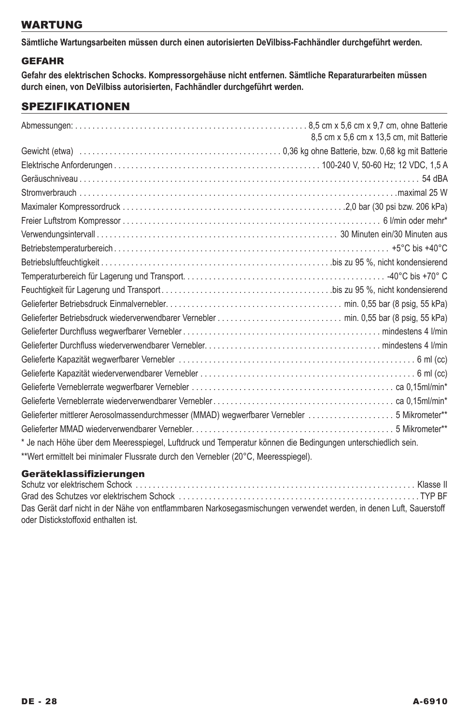## **WARTUNG**

**Sämtliche Wartungsarbeiten müssen durch einen autorisierten DeVilbiss-Fachhändler durchgeführt werden.**

## **GEFAHR**

**Gefahr des elektrischen Schocks. Kompressorgehäuse nicht entfernen. Sämtliche Reparaturarbeiten müssen durch einen, von DeVilbiss autorisierten, Fachhändler durchgeführt werden.** 

## spezifikationen

|                                                                                                              | 8.5 cm x 5.6 cm x 13.5 cm, mit Batterie |
|--------------------------------------------------------------------------------------------------------------|-----------------------------------------|
|                                                                                                              |                                         |
|                                                                                                              |                                         |
|                                                                                                              |                                         |
|                                                                                                              |                                         |
|                                                                                                              |                                         |
|                                                                                                              |                                         |
|                                                                                                              |                                         |
|                                                                                                              |                                         |
|                                                                                                              |                                         |
|                                                                                                              |                                         |
|                                                                                                              |                                         |
|                                                                                                              |                                         |
|                                                                                                              |                                         |
|                                                                                                              |                                         |
|                                                                                                              |                                         |
|                                                                                                              |                                         |
|                                                                                                              |                                         |
|                                                                                                              |                                         |
|                                                                                                              |                                         |
| Gelieferter mittlerer Aerosolmassendurchmesser (MMAD) wegwerfbarer Vernebler 5 Mikrometer**                  |                                         |
|                                                                                                              |                                         |
| * Je nach Höhe über dem Meeresspiegel, Luftdruck und Temperatur können die Bedingungen unterschiedlich sein. |                                         |
| **Wert ermittelt bei minimaler Flussrate durch den Vernebler (20°C, Meeresspiegel).                          |                                         |

### Geräteklassifizierungen

| Schutz vor elektrischem Schock………………………………………………………………………………… Klasse II                                             |  |
|---------------------------------------------------------------------------------------------------------------------|--|
|                                                                                                                     |  |
| Das Gerät darf nicht in der Nähe von entflammbaren Narkosegasmischungen verwendet werden, in denen Luft, Sauerstoff |  |
| oder Distickstoffoxid enthalten ist.                                                                                |  |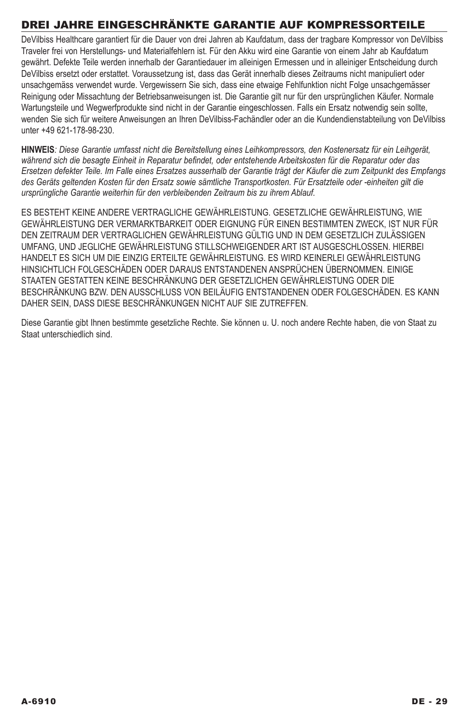# Drei Jahre eingeschränkte Garantie auf Kompressorteile

DeVilbiss Healthcare garantiert für die Dauer von drei Jahren ab Kaufdatum, dass der tragbare Kompressor von DeVilbiss Traveler frei von Herstellungs- und Materialfehlern ist. Für den Akku wird eine Garantie von einem Jahr ab Kaufdatum gewährt. Defekte Teile werden innerhalb der Garantiedauer im alleinigen Ermessen und in alleiniger Entscheidung durch DeVilbiss ersetzt oder erstattet. Voraussetzung ist, dass das Gerät innerhalb dieses Zeitraums nicht manipuliert oder unsachgemäss verwendet wurde. Vergewissern Sie sich, dass eine etwaige Fehlfunktion nicht Folge unsachgemässer Reinigung oder Missachtung der Betriebsanweisungen ist. Die Garantie gilt nur für den ursprünglichen Käufer. Normale Wartungsteile und Wegwerfprodukte sind nicht in der Garantie eingeschlossen. Falls ein Ersatz notwendig sein sollte, wenden Sie sich für weitere Anweisungen an Ihren DeVilbiss-Fachändler oder an die Kundendienstabteilung von DeVilbiss unter +49 621-178-98-230.

**HINWEIS***: Diese Garantie umfasst nicht die Bereitstellung eines Leihkompressors, den Kostenersatz für ein Leihgerät, während sich die besagte Einheit in Reparatur befindet, oder entstehende Arbeitskosten für die Reparatur oder das Ersetzen defekter Teile. Im Falle eines Ersatzes ausserhalb der Garantie trägt der Käufer die zum Zeitpunkt des Empfangs des Geräts geltenden Kosten für den Ersatz sowie sämtliche Transportkosten. Für Ersatzteile oder -einheiten gilt die ursprüngliche Garantie weiterhin für den verbleibenden Zeitraum bis zu ihrem Ablauf.* 

ES BESTEHT KEINE ANDERE VERTRAGLICHE GEWÄHRLEISTUNG. GESETZLICHE GEWÄHRLEISTUNG, WIE GEWÄHRLEISTUNG DER VERMARKTBARKEIT ODER EIGNUNG FÜR EINEN BESTIMMTEN ZWECK, IST NUR FÜR DEN ZEITRAUM DER VERTRAGLICHEN GEWÄHRLEISTUNG GÜLTIG UND IN DEM GESETZLICH ZULÄSSIGEN UMFANG, UND JEGLICHE GEWÄHRLEISTUNG STILLSCHWEIGENDER ART IST AUSGESCHLOSSEN. HIERBEI HANDELT ES SICH UM DIE EINZIG ERTEILTE GEWÄHRLEISTUNG. ES WIRD KEINERLEI GEWÄHRLEISTUNG HINSICHTLICH FOLGESCHÄDEN ODER DARAUS ENTSTANDENEN ANSPRÜCHEN ÜBERNOMMEN. EINIGE STAATEN GESTATTEN KEINE BESCHRÄNKUNG DER GESETZLICHEN GEWÄHRLEISTUNG ODER DIE BESCHRÄNKUNG BZW. DEN AUSSCHLUSS VON BEILÄUFIG ENTSTANDENEN ODER FOLGESCHÄDEN. ES KANN DAHER SEIN, DASS DIESE BESCHRÄNKUNGEN NICHT AUF SIE ZUTREFFEN.

Diese Garantie gibt Ihnen bestimmte gesetzliche Rechte. Sie können u. U. noch andere Rechte haben, die von Staat zu Staat unterschiedlich sind.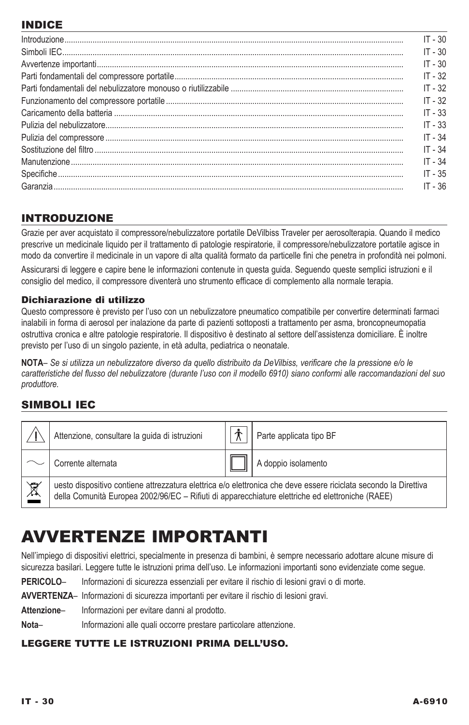# INDICE

| $\label{prop:1} \textit{Introduzione}\, \textit{}\, \textit{}\, \textit{}\, \textit{}\, \textit{}\, \textit{}\, \textit{}\, \textit{}\, \textit{}\, \textit{}\, \textit{}\, \textit{}\, \textit{}\, \textit{}\, \textit{}\, \textit{}\, \textit{}\, \textit{}\, \textit{}\, \textit{}\, \textit{}\, \textit{}\, \textit{}\, \textit{}\, \textit{}\, \textit{}\, \textit{}\, \textit{}\, \textit{}\, \$ | $IT - 30$ |
|--------------------------------------------------------------------------------------------------------------------------------------------------------------------------------------------------------------------------------------------------------------------------------------------------------------------------------------------------------------------------------------------------------|-----------|
|                                                                                                                                                                                                                                                                                                                                                                                                        | $IT - 30$ |
|                                                                                                                                                                                                                                                                                                                                                                                                        | $IT - 30$ |
|                                                                                                                                                                                                                                                                                                                                                                                                        | $IT - 32$ |
|                                                                                                                                                                                                                                                                                                                                                                                                        | $IT - 32$ |
|                                                                                                                                                                                                                                                                                                                                                                                                        | $IT - 32$ |
|                                                                                                                                                                                                                                                                                                                                                                                                        | $IT - 33$ |
|                                                                                                                                                                                                                                                                                                                                                                                                        | $IT - 33$ |
|                                                                                                                                                                                                                                                                                                                                                                                                        | $IT - 34$ |
|                                                                                                                                                                                                                                                                                                                                                                                                        | $IT - 34$ |
|                                                                                                                                                                                                                                                                                                                                                                                                        | $IT - 34$ |
|                                                                                                                                                                                                                                                                                                                                                                                                        | $IT - 35$ |
|                                                                                                                                                                                                                                                                                                                                                                                                        | $IT - 36$ |

## INTRODUZIONE

Grazie per aver acquistato il compressore/nebulizzatore portatile DeVilbiss Traveler per aerosolterapia. Quando il medico prescrive un medicinale liquido per il trattamento di patologie respiratorie, il compressore/nebulizzatore portatile agisce in modo da convertire il medicinale in un vapore di alta qualità formato da particelle fini che penetra in profondità nei polmoni.

Assicurarsi di leggere e capire bene le informazioni contenute in questa guida. Seguendo queste semplici istruzioni e il consiglio del medico, il compressore diventerà uno strumento efficace di complemento alla normale terapia.

## Dichiarazione di utilizzo

Questo compressore è previsto per l'uso con un nebulizzatore pneumatico compatibile per convertire determinati farmaci inalabili in forma di aerosol per inalazione da parte di pazienti sottoposti a trattamento per asma, broncopneumopatia ostruttiva cronica e altre patologie respiratorie. Il dispositivo è destinato al settore dell'assistenza domiciliare. È inoltre previsto per l'uso di un singolo paziente, in età adulta, pediatrica o neonatale.

**NOTA***– Se si utilizza un nebulizzatore diverso da quello distribuito da DeVilbiss, verificare che la pressione e/o le caratteristiche del flusso del nebulizzatore (durante l'uso con il modello 6910) siano conformi alle raccomandazioni del suo produttore.*

## SIMBOLI IEC

|                      | Attenzione, consultare la guida di istruzioni                                                                                                                                                                        |  | Parte applicata tipo BF |  |
|----------------------|----------------------------------------------------------------------------------------------------------------------------------------------------------------------------------------------------------------------|--|-------------------------|--|
|                      | Corrente alternata                                                                                                                                                                                                   |  | A doppio isolamento     |  |
| $\boxed{\mathbb{X}}$ | uesto dispositivo contiene attrezzatura elettrica e/o elettronica che deve essere riciclata secondo la Direttiva<br>della Comunità Europea 2002/96/EC – Rifiuti di apparecchiature elettriche ed elettroniche (RAEE) |  |                         |  |

# Avvertenze importanti

Nell'impiego di dispositivi elettrici, specialmente in presenza di bambini, è sempre necessario adottare alcune misure di sicurezza basilari. Leggere tutte le istruzioni prima dell'uso. Le informazioni importanti sono evidenziate come segue.

**Pericolo**– Informazioni di sicurezza essenziali per evitare il rischio di lesioni gravi o di morte.

**Avvertenza**– Informazioni di sicurezza importanti per evitare il rischio di lesioni gravi.

**Attenzione**– Informazioni per evitare danni al prodotto.

Nota– Informazioni alle quali occorre prestare particolare attenzione.

## Leggere tutte le istruzioni prima dell'uso.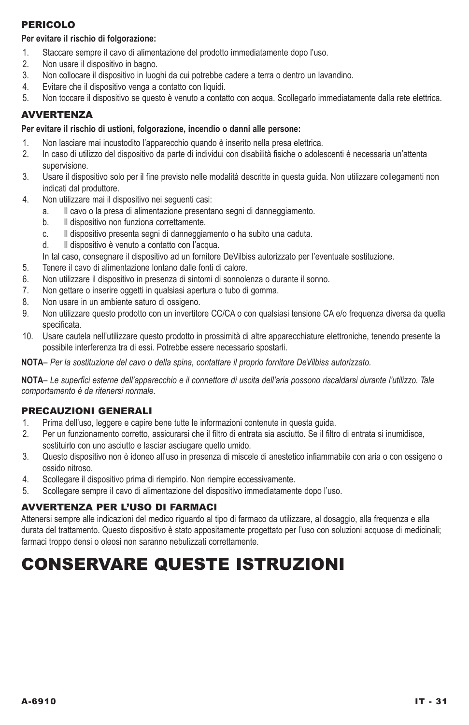## Pericolo

### **Per evitare il rischio di folgorazione:**

- 1. Staccare sempre il cavo di alimentazione del prodotto immediatamente dopo l'uso.
- 2. Non usare il dispositivo in bagno.
- 3. Non collocare il dispositivo in luoghi da cui potrebbe cadere a terra o dentro un lavandino.
- 4. Evitare che il dispositivo venga a contatto con liquidi.
- 5. Non toccare il dispositivo se questo è venuto a contatto con acqua. Scollegarlo immediatamente dalla rete elettrica.

## **AVVERTENZA**

### **Per evitare il rischio di ustioni, folgorazione, incendio o danni alle persone:**

- 1. Non lasciare mai incustodito l'apparecchio quando è inserito nella presa elettrica.
- 2. In caso di utilizzo del dispositivo da parte di individui con disabilità fisiche o adolescenti è necessaria un'attenta supervisione.
- 3. Usare il dispositivo solo per il fine previsto nelle modalità descritte in questa guida. Non utilizzare collegamenti non indicati dal produttore.
- 4. Non utilizzare mai il dispositivo nei seguenti casi:
	- a. Il cavo o la presa di alimentazione presentano segni di danneggiamento.
	- b. Il dispositivo non funziona correttamente.
	- c. Il dispositivo presenta segni di danneggiamento o ha subito una caduta.
	- d. Il dispositivo è venuto a contatto con l'acqua.
	- In tal caso, consegnare il dispositivo ad un fornitore DeVilbiss autorizzato per l'eventuale sostituzione.
- 5. Tenere il cavo di alimentazione lontano dalle fonti di calore.
- 6. Non utilizzare il dispositivo in presenza di sintomi di sonnolenza o durante il sonno.
- 7. Non gettare o inserire oggetti in qualsiasi apertura o tubo di gomma.
- 8. Non usare in un ambiente saturo di ossigeno.
- 9. Non utilizzare questo prodotto con un invertitore CC/CA o con qualsiasi tensione CA e/o frequenza diversa da quella specificata.
- 10. Usare cautela nell'utilizzare questo prodotto in prossimità di altre apparecchiature elettroniche, tenendo presente la possibile interferenza tra di essi. Potrebbe essere necessario spostarli.

**NOTA***– Per la sostituzione del cavo o della spina, contattare il proprio fornitore DeVilbiss autorizzato.*

**NOTA***– Le superfici esterne dell'apparecchio e il connettore di uscita dell'aria possono riscaldarsi durante l'utilizzo. Tale comportamento è da ritenersi normale.*

### PRECAUZIONI GENERALI

- 1. Prima dell'uso, leggere e capire bene tutte le informazioni contenute in questa guida.
- 2. Per un funzionamento corretto, assicurarsi che il filtro di entrata sia asciutto. Se il filtro di entrata si inumidisce, sostituirlo con uno asciutto e lasciar asciugare quello umido.
- 3. Questo dispositivo non è idoneo all'uso in presenza di miscele di anestetico infiammabile con aria o con ossigeno o ossido nitroso.
- 4. Scollegare il dispositivo prima di riempirlo. Non riempire eccessivamente.
- 5. Scollegare sempre il cavo di alimentazione del dispositivo immediatamente dopo l'uso.

### AVVERTENZA PER L'USO DI FARMACI

Attenersi sempre alle indicazioni del medico riguardo al tipo di farmaco da utilizzare, al dosaggio, alla frequenza e alla durata del trattamento. Questo dispositivo è stato appositamente progettato per l'uso con soluzioni acquose di medicinali; farmaci troppo densi o oleosi non saranno nebulizzati correttamente.

# Conservare queste istruzioni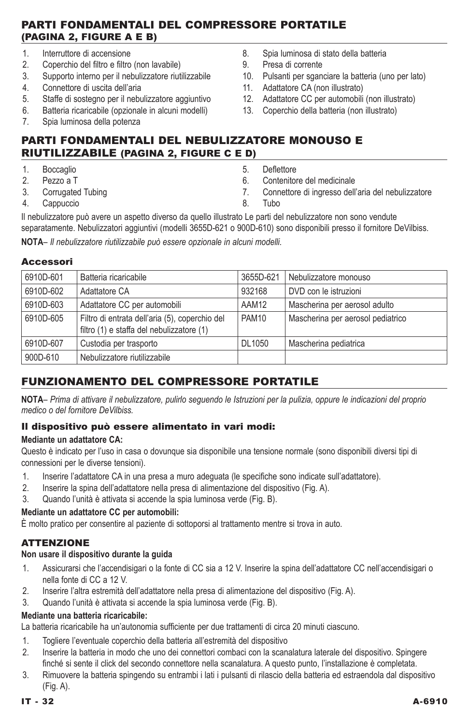## Parti fondamentali del compressore portatile (Pagina 2, Figure A e B)

- 1. Interruttore di accensione
- 2. Coperchio del filtro e filtro (non lavabile)<br>3. Supporto interno per il nebulizzatore riuti
- 3. Supporto interno per il nebulizzatore riutilizzabile
- 4. Connettore di uscita dell'aria
- 5. Staffe di sostegno per il nebulizzatore aggiuntivo
- 6. Batteria ricaricabile (opzionale in alcuni modelli)
- 7. Spia luminosa della potenza
- 8. Spia luminosa di stato della batteria
- 9. Presa di corrente
- 10. Pulsanti per sganciare la batteria (uno per lato)
- 11. Adattatore CA (non illustrato)
- 12. Adattatore CC per automobili (non illustrato)
- 13. Coperchio della batteria (non illustrato)

## Parti fondamentali del nebulizzatore monouso e riutilizzabile (Pagina 2, Figure C e D)

- 1. Boccaglio
- 2. Pezzo a T
- 3. Corrugated Tubing
- 4. Cappuccio
- 5. Deflettore
- 6. Contenitore del medicinale
- 7. Connettore di ingresso dell'aria del nebulizzatore
- 8. Tubo

Il nebulizzatore può avere un aspetto diverso da quello illustrato Le parti del nebulizzatore non sono vendute separatamente. Nebulizzatori aggiuntivi (modelli 3655D-621 o 900D-610) sono disponibili presso il fornitore DeVilbiss. **NOTA***– Il nebulizzatore riutilizzabile può essere opzionale in alcuni modelli.*

#### Accessori

| 6910D-601 | Batteria ricaricabile                                                                       | 3655D-621         | Nebulizzatore monouso             |
|-----------|---------------------------------------------------------------------------------------------|-------------------|-----------------------------------|
| 6910D-602 | Adattatore CA                                                                               | 932168            | DVD con le istruzioni             |
| 6910D-603 | Adattatore CC per automobili                                                                | AAM12             | Mascherina per aerosol adulto     |
| 6910D-605 | Filtro di entrata dell'aria (5), coperchio del<br>filtro (1) e staffa del nebulizzatore (1) | PAM <sub>10</sub> | Mascherina per aerosol pediatrico |
| 6910D-607 | Custodia per trasporto                                                                      | DL1050            | Mascherina pediatrica             |
| 900D-610  | Nebulizzatore riutilizzabile                                                                |                   |                                   |

# Funzionamento del compressore portatile

**NotA***– Prima di attivare il nebulizzatore, pulirlo seguendo le Istruzioni per la pulizia, oppure le indicazioni del proprio medico o del fornitore DeVilbiss.*

### Il dispositivo può essere alimentato in vari modi:

### **Mediante un adattatore CA:**

Questo è indicato per l'uso in casa o dovunque sia disponibile una tensione normale (sono disponibili diversi tipi di connessioni per le diverse tensioni).

- 1. Inserire l'adattatore CA in una presa a muro adeguata (le specifiche sono indicate sull'adattatore).
- 2. Inserire la spina dell'adattatore nella presa di alimentazione del dispositivo (Fig. A).
- 3. Quando l'unità è attivata si accende la spia luminosa verde (Fig. B).

## **Mediante un adattatore CC per automobili:**

È molto pratico per consentire al paziente di sottoporsi al trattamento mentre si trova in auto.

## ATTENZIONE

## **Non usare il dispositivo durante la guida**

- 1. Assicurarsi che l'accendisigari o la fonte di CC sia a 12 V. Inserire la spina dell'adattatore CC nell'accendisigari o nella fonte di CC a 12 V.
- 2. Inserire l'altra estremità dell'adattatore nella presa di alimentazione del dispositivo (Fig. A).
- 3. Quando l'unità è attivata si accende la spia luminosa verde (Fig. B).

## **Mediante una batteria ricaricabile:**

La batteria ricaricabile ha un'autonomia sufficiente per due trattamenti di circa 20 minuti ciascuno.

- 1. Togliere l'eventuale coperchio della batteria all'estremità del dispositivo
- 2. Inserire la batteria in modo che uno dei connettori combaci con la scanalatura laterale del dispositivo. Spingere finché si sente il click del secondo connettore nella scanalatura. A questo punto, l'installazione è completata.
- 3. Rimuovere la batteria spingendo su entrambi i lati i pulsanti di rilascio della batteria ed estraendola dal dispositivo (Fig. A).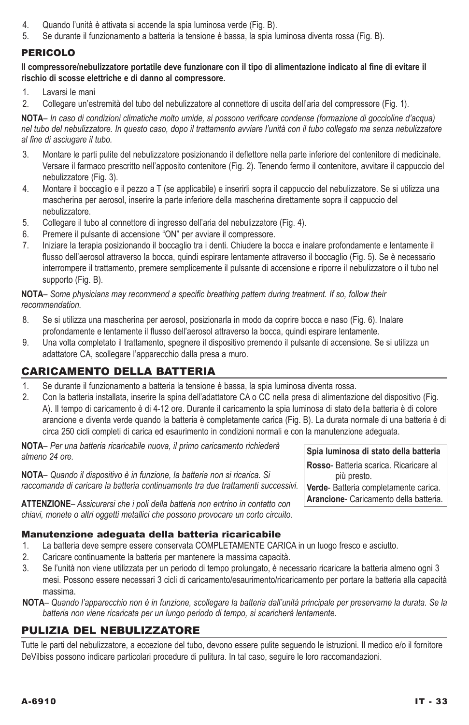- 4. Quando l'unità è attivata si accende la spia luminosa verde (Fig. B).
- 5. Se durante il funzionamento a batteria la tensione è bassa, la spia luminosa diventa rossa (Fig. B).

## **PERICOLO**

### **Il compressore/nebulizzatore portatile deve funzionare con il tipo di alimentazione indicato al fine di evitare il rischio di scosse elettriche e di danno al compressore.**

- 1. Lavarsi le mani
- 2. Collegare un'estremità del tubo del nebulizzatore al connettore di uscita dell'aria del compressore (Fig. 1).

**NotA***– In caso di condizioni climatiche molto umide, si possono verificare condense (formazione di goccioline d'acqua) nel tubo del nebulizzatore. In questo caso, dopo il trattamento avviare l'unità con il tubo collegato ma senza nebulizzatore al fine di asciugare il tubo.*

- 3. Montare le parti pulite del nebulizzatore posizionando il deflettore nella parte inferiore del contenitore di medicinale. Versare il farmaco prescritto nell'apposito contenitore (Fig. 2). Tenendo fermo il contenitore, avvitare il cappuccio del nebulizzatore (Fig. 3).
- 4. Montare il boccaglio e il pezzo a T (se applicabile) e inserirli sopra il cappuccio del nebulizzatore. Se si utilizza una mascherina per aerosol, inserire la parte inferiore della mascherina direttamente sopra il cappuccio del nebulizzatore.
- 5. Collegare il tubo al connettore di ingresso dell'aria del nebulizzatore (Fig. 4).
- 6. Premere il pulsante di accensione "ON" per avviare il compressore.
- 7. Iniziare la terapia posizionando il boccaglio tra i denti. Chiudere la bocca e inalare profondamente e lentamente il flusso dell'aerosol attraverso la bocca, quindi espirare lentamente attraverso il boccaglio (Fig. 5). Se è necessario interrompere il trattamento, premere semplicemente il pulsante di accensione e riporre il nebulizzatore o il tubo nel supporto (Fig. B).

#### **NotA***– Some physicians may recommend a specific breathing pattern during treatment. If so, follow their recommendation.*

- 8. Se si utilizza una mascherina per aerosol, posizionarla in modo da coprire bocca e naso (Fig. 6). Inalare profondamente e lentamente il flusso dell'aerosol attraverso la bocca, quindi espirare lentamente.
- 9. Una volta completato il trattamento, spegnere il dispositivo premendo il pulsante di accensione. Se si utilizza un adattatore CA, scollegare l'apparecchio dalla presa a muro.

## Caricamento della batteria

- 1. Se durante il funzionamento a batteria la tensione è bassa, la spia luminosa diventa rossa.
- 2. Con la batteria installata, inserire la spina dell'adattatore CA o CC nella presa di alimentazione del dispositivo (Fig. A). Il tempo di caricamento è di 4-12 ore. Durante il caricamento la spia luminosa di stato della batteria è di colore arancione e diventa verde quando la batteria è completamente carica (Fig. B). La durata normale di una batteria è di circa 250 cicli completi di carica ed esaurimento in condizioni normali e con la manutenzione adeguata.

**NotA***– Per una batteria ricaricabile nuova, il primo caricamento richiederà almeno 24 ore.*

**NotA***– Quando il dispositivo è in funzione, la batteria non si ricarica. Si raccomanda di caricare la batteria continuamente tra due trattamenti successivi.* 

**Attenzione***– Assicurarsi che i poli della batteria non entrino in contatto con chiavi, monete o altri oggetti metallici che possono provocare un corto circuito.*

### Manutenzione adeguata della batteria ricaricabile

- 1. La batteria deve sempre essere conservata COMPLETAMENTE CARICA in un luogo fresco e asciutto.
- 2. Caricare continuamente la batteria per mantenere la massima capacità.
- 3. Se l'unità non viene utilizzata per un periodo di tempo prolungato, è necessario ricaricare la batteria almeno ogni 3 mesi. Possono essere necessari 3 cicli di caricamento/esaurimento/ricaricamento per portare la batteria alla capacità massima.
- **NotA** *Quando l'apparecchio non è in funzione, scollegare la batteria dall'unità principale per preservarne la durata. Se la batteria non viene ricaricata per un lungo periodo di tempo, si scaricherà lentamente.*

## Pulizia del nebulizzatore

Tutte le parti del nebulizzatore, a eccezione del tubo, devono essere pulite seguendo le istruzioni. Il medico e/o il fornitore DeVilbiss possono indicare particolari procedure di pulitura. In tal caso, seguire le loro raccomandazioni.

**Spia luminosa di stato della batteria Rosso**- Batteria scarica. Ricaricare al più presto. **Verde**- Batteria completamente carica. **Arancione**- Caricamento della batteria.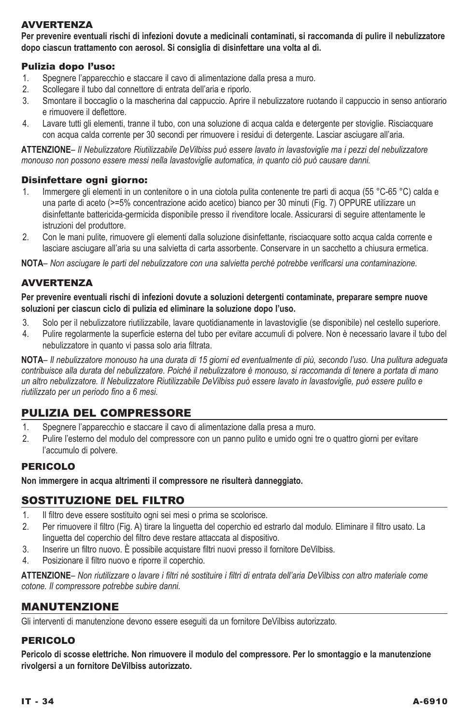## **AVVERTENZA**

**Per prevenire eventuali rischi di infezioni dovute a medicinali contaminati, si raccomanda di pulire il nebulizzatore dopo ciascun trattamento con aerosol. Si consiglia di disinfettare una volta al dì.**

## Pulizia dopo l'uso:

- 1. Spegnere l'apparecchio e staccare il cavo di alimentazione dalla presa a muro.
- 2. Scollegare il tubo dal connettore di entrata dell'aria e riporlo.
- 3. Smontare il boccaglio o la mascherina dal cappuccio. Aprire il nebulizzatore ruotando il cappuccio in senso antiorario e rimuovere il deflettore.
- 4. Lavare tutti gli elementi, tranne il tubo, con una soluzione di acqua calda e detergente per stoviglie. Risciacquare con acqua calda corrente per 30 secondi per rimuovere i residui di detergente. Lasciar asciugare all'aria.

**Attenzione***– Il Nebulizzatore Riutilizzabile DeVilbiss può essere lavato in lavastoviglie ma i pezzi del nebulizzatore monouso non possono essere messi nella lavastoviglie automatica, in quanto ciò può causare danni.*

### Disinfettare ogni giorno:

- 1. Immergere gli elementi in un contenitore o in una ciotola pulita contenente tre parti di acqua (55 °C-65 °C) calda e una parte di aceto (>=5% concentrazione acido acetico) bianco per 30 minuti (Fig. 7) OPPURE utilizzare un disinfettante battericida-germicida disponibile presso il rivenditore locale. Assicurarsi di seguire attentamente le istruzioni del produttore.
- 2. Con le mani pulite, rimuovere gli elementi dalla soluzione disinfettante, risciacquare sotto acqua calda corrente e lasciare asciugare all'aria su una salvietta di carta assorbente. Conservare in un sacchetto a chiusura ermetica.

**NotA***– Non asciugare le parti del nebulizzatore con una salvietta perché potrebbe verificarsi una contaminazione.*

## **AVVERTENZA**

**Per prevenire eventuali rischi di infezioni dovute a soluzioni detergenti contaminate, preparare sempre nuove soluzioni per ciascun ciclo di pulizia ed eliminare la soluzione dopo l'uso.** 

- 3. Solo per il nebulizzatore riutilizzabile, lavare quotidianamente in lavastoviglie (se disponibile) nel cestello superiore.
- 4. Pulire regolarmente la superficie esterna del tubo per evitare accumuli di polvere. Non è necessario lavare il tubo del nebulizzatore in quanto vi passa solo aria filtrata.

**NotA***– Il nebulizzatore monouso ha una durata di 15 giorni ed eventualmente di più, secondo l'uso. Una pulitura adeguata contribuisce alla durata del nebulizzatore. Poiché il nebulizzatore è monouso, si raccomanda di tenere a portata di mano un altro nebulizzatore. Il Nebulizzatore Riutilizzabile DeVilbiss può essere lavato in lavastoviglie, può essere pulito e riutilizzato per un periodo fino a 6 mesi.*

## Pulizia del compressore

- 1. Spegnere l'apparecchio e staccare il cavo di alimentazione dalla presa a muro.
- Pulire l'esterno del modulo del compressore con un panno pulito e umido ogni tre o quattro giorni per evitare l'accumulo di polvere.

### **PERICOLO**

**Non immergere in acqua altrimenti il compressore ne risulterà danneggiato.**

## Sostituzione del filtro

- 1. Il filtro deve essere sostituito ogni sei mesi o prima se scolorisce.<br>2. Per rimuovere il filtro (Fig. A) tirare la linguetta del coperchio ed e
- 2. Per rimuovere il filtro (Fig. A) tirare la linguetta del coperchio ed estrarlo dal modulo. Eliminare il filtro usato. La linguetta del coperchio del filtro deve restare attaccata al dispositivo.
- 3. Inserire un filtro nuovo. È possibile acquistare filtri nuovi presso il fornitore DeVilbiss.
- 4. Posizionare il filtro nuovo e riporre il coperchio.

**Attenzione***– Non riutilizzare o lavare i filtri né sostituire i filtri di entrata dell'aria DeVilbiss con altro materiale come cotone. Il compressore potrebbe subire danni.*

## Manutenzione

Gli interventi di manutenzione devono essere eseguiti da un fornitore DeVilbiss autorizzato.

### Pericolo

**Pericolo di scosse elettriche. Non rimuovere il modulo del compressore. Per lo smontaggio e la manutenzione rivolgersi a un fornitore DeVilbiss autorizzato.**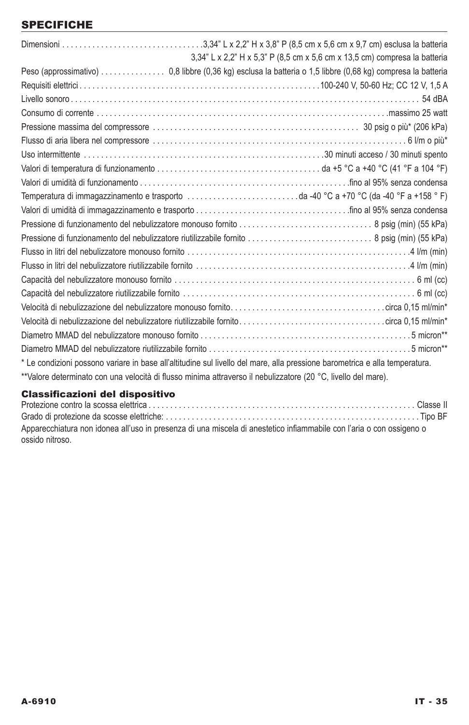# **SPECIFICHE**

| 3,34" L x 2,2" H x 5,3" P (8,5 cm x 5,6 cm x 13,5 cm) compresa la batteria                                                  |
|-----------------------------------------------------------------------------------------------------------------------------|
| Peso (approssimativo) 0,8 libbre (0,36 kg) esclusa la batteria o 1,5 libbre (0,68 kg) compresa la batteria                  |
|                                                                                                                             |
|                                                                                                                             |
|                                                                                                                             |
|                                                                                                                             |
|                                                                                                                             |
|                                                                                                                             |
|                                                                                                                             |
|                                                                                                                             |
|                                                                                                                             |
|                                                                                                                             |
|                                                                                                                             |
|                                                                                                                             |
|                                                                                                                             |
|                                                                                                                             |
|                                                                                                                             |
|                                                                                                                             |
|                                                                                                                             |
|                                                                                                                             |
|                                                                                                                             |
|                                                                                                                             |
| * Le condizioni possono variare in base all'altitudine sul livello del mare, alla pressione barometrica e alla temperatura. |
| **Valore determinato con una velocità di flusso minima attraverso il nebulizzatore (20 °C, livello del mare).               |
|                                                                                                                             |

## Classificazioni del dispositivo

Protezione contro la scossa elettrica . . Classe II Grado di protezione da scosse elettriche: . Tipo BF Apparecchiatura non idonea all'uso in presenza di una miscela di anestetico infiammabile con l'aria o con ossigeno o ossido nitroso.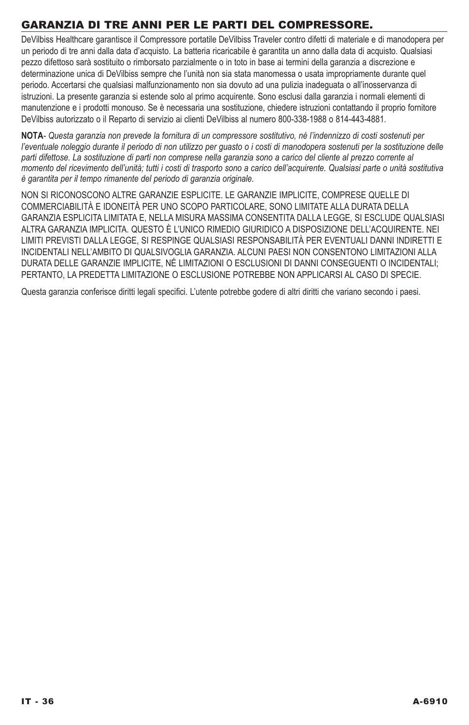# Garanzia di tre anni per le parti del compressore.

DeVilbiss Healthcare garantisce il Compressore portatile DeVilbiss Traveler contro difetti di materiale e di manodopera per un periodo di tre anni dalla data d'acquisto. La batteria ricaricabile è garantita un anno dalla data di acquisto. Qualsiasi pezzo difettoso sarà sostituito o rimborsato parzialmente o in toto in base ai termini della garanzia a discrezione e determinazione unica di DeVilbiss sempre che l'unità non sia stata manomessa o usata impropriamente durante quel periodo. Accertarsi che qualsiasi malfunzionamento non sia dovuto ad una pulizia inadeguata o all'inosservanza di istruzioni. La presente garanzia si estende solo al primo acquirente. Sono esclusi dalla garanzia i normali elementi di manutenzione e i prodotti monouso. Se è necessaria una sostituzione, chiedere istruzioni contattando il proprio fornitore DeVilbiss autorizzato o il Reparto di servizio ai clienti DeVilbiss al numero 800-338-1988 o 814-443-4881.

**NotA***- Questa garanzia non prevede la fornitura di un compressore sostitutivo, né l'indennizzo di costi sostenuti per*  l'eventuale noleggio durante il periodo di non utilizzo per guasto o i costi di manodopera sostenuti per la sostituzione delle parti difettose. La sostituzione di parti non comprese nella garanzia sono a carico del cliente al prezzo corrente al *momento del ricevimento dell'unità; tutti i costi di trasporto sono a carico dell'acquirente. Qualsiasi parte o unità sostitutiva è garantita per il tempo rimanente del periodo di garanzia originale.* 

NON SI RICONOSCONO ALTRE GARANZIE ESPLICITE. LE GARANZIE IMPLICITE, COMPRESE QUELLE DI COMMERCIABILITÀ E IDONEITÀ PER UNO SCOPO PARTICOLARE, SONO LIMITATE ALLA DURATA DELLA GARANZIA ESPLICITA LIMITATA E, NELLA MISURA MASSIMA CONSENTITA DALLA LEGGE, SI ESCLUDE QUALSIASI ALTRA GARANZIA IMPLICITA. QUESTO È L'UNICO RIMEDIO GIURIDICO A DISPOSIZIONE DELL'ACQUIRENTE. NEI LIMITI PREVISTI DALLA LEGGE, SI RESPINGE QUALSIASI RESPONSABILITÀ PER EVENTUALI DANNI INDIRETTI E INCIDENTALI NELL'AMBITO DI QUALSIVOGLIA GARANZIA. ALCUNI PAESI NON CONSENTONO LIMITAZIONI ALLA DURATA DELLE GARANZIE IMPLICITE, NÉ LIMITAZIONI O ESCLUSIONI DI DANNI CONSEGUENTI O INCIDENTALI; PERTANTO, LA PREDETTA LIMITAZIONE O ESCLUSIONE POTREBBE NON APPLICARSI AL CASO DI SPECIE.

Questa garanzia conferisce diritti legali specifici. L'utente potrebbe godere di altri diritti che variano secondo i paesi.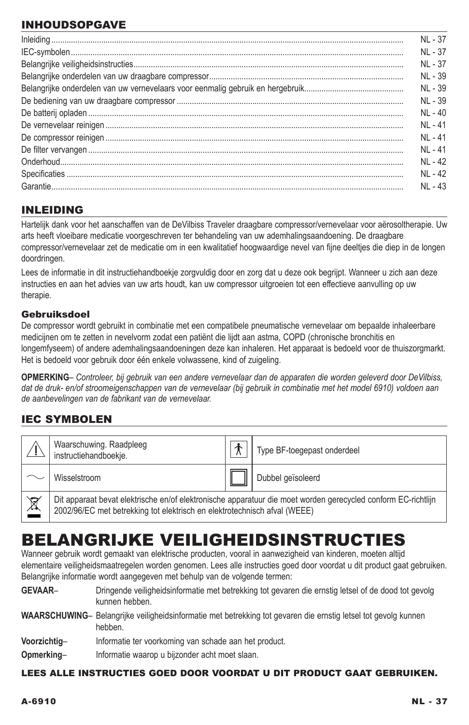# INHOUDSOPGAVE

## INLEIDING

Hartelijk dank voor het aanschaffen van de DeVilbiss Traveler draagbare compressor/vernevelaar voor aërosoltherapie. Uw arts heeft vloeibare medicatie voorgeschreven ter behandeling van uw ademhalingsaandoening. De draagbare compressor/vernevelaar zet de medicatie om in een kwalitatief hoogwaardige nevel van fijne deeltjes die diep in de longen doordringen.

Lees de informatie in dit instructiehandboekje zorgvuldig door en zorg dat u deze ook begrijpt. Wanneer u zich aan deze instructies en aan het advies van uw arts houdt, kan uw compressor uitgroeien tot een effectieve aanvulling op uw therapie.

### Gebruiksdoel

De compressor wordt gebruikt in combinatie met een compatibele pneumatische vernevelaar om bepaalde inhaleerbare medicijnen om te zetten in nevelvorm zodat een patiënt die lijdt aan astma, COPD (chronische bronchitis en longemfyseem) of andere ademhalingsaandoeningen deze kan inhaleren. Het apparaat is bedoeld voor de thuiszorgmarkt. Het is bedoeld voor gebruik door één enkele volwassene, kind of zuigeling.

**OPMERKING***– Controleer, bij gebruik van een andere vernevelaar dan de apparaten die worden geleverd door DeVilbiss,*  dat de druk- en/of stroomeigenschappen van de vernevelaar (bij gebruik in combinatie met het model 6910) voldoen aan *de aanbevelingen van de fabrikant van de vernevelaar.*

# IEC SYMBOLEN

|                  | Waarschuwing. Raadpleeg<br>instructiehandboekje.                                                                                                                                           |  | Type BF-toegepast onderdeel |  |  |  |
|------------------|--------------------------------------------------------------------------------------------------------------------------------------------------------------------------------------------|--|-----------------------------|--|--|--|
|                  | Wisselstroom                                                                                                                                                                               |  | Dubbel geïsoleerd           |  |  |  |
| $\sum_{i=1}^{n}$ | Dit apparaat bevat elektrische en/of elektronische apparatuur die moet worden gerecycled conform EC-richtlijn<br>2002/96/EC met betrekking tot elektrisch en elektrotechnisch afval (WEEE) |  |                             |  |  |  |

# Belangrijke veiligheidsinstructies

Wanneer gebruik wordt gemaakt van elektrische producten, vooral in aanwezigheid van kinderen, moeten altijd elementaire veiligheidsmaatregelen worden genomen. Lees alle instructies goed door voordat u dit product gaat gebruiken. Belangrijke informatie wordt aangegeven met behulp van de volgende termen:

GEVAAR– Dringende veiligheidsinformatie met betrekking tot gevaren die ernstig letsel of de dood tot gevolg kunnen hebben.

**Waarschuwing**– Belangrijke veiligheidsinformatie met betrekking tot gevaren die ernstig letsel tot gevolg kunnen hebben.

**Voorzichtig**– Informatie ter voorkoming van schade aan het product.

**Opmerking**– Informatie waarop u bijzonder acht moet slaan.

### Lees alle instructies goed door voordat u dit product gaat gebruiken.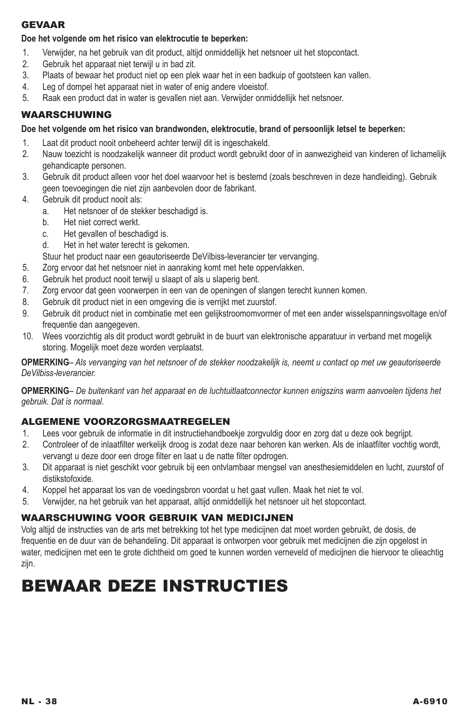### **GEVAAR**

## **Doe het volgende om het risico van elektrocutie te beperken:**

- 1. Verwijder, na het gebruik van dit product, altijd onmiddellijk het netsnoer uit het stopcontact.
- 2. Gebruik het apparaat niet terwijl u in bad zit.
- 3. Plaats of bewaar het product niet op een plek waar het in een badkuip of gootsteen kan vallen.
- 4. Leg of dompel het apparaat niet in water of enig andere vloeistof.
- 5. Raak een product dat in water is gevallen niet aan. Verwijder onmiddellijk het netsnoer.

## Waarschuwing

## **Doe het volgende om het risico van brandwonden, elektrocutie, brand of persoonlijk letsel te beperken:**

- 1. Laat dit product nooit onbeheerd achter terwijl dit is ingeschakeld.
- 2. Nauw toezicht is noodzakelijk wanneer dit product wordt gebruikt door of in aanwezigheid van kinderen of lichamelijk gehandicapte personen.
- 3. Gebruik dit product alleen voor het doel waarvoor het is bestemd (zoals beschreven in deze handleiding). Gebruik geen toevoegingen die niet zijn aanbevolen door de fabrikant.
- 4. Gebruik dit product nooit als:
	- a. Het netsnoer of de stekker beschadigd is.
	- b. Het niet correct werkt.
	- c. Het gevallen of beschadigd is.
	- d. Het in het water terecht is gekomen.
	- Stuur het product naar een geautoriseerde DeVilbiss-leverancier ter vervanging.
- 5. Zorg ervoor dat het netsnoer niet in aanraking komt met hete oppervlakken.
- 6. Gebruik het product nooit terwijl u slaapt of als u slaperig bent.
- 7. Zorg ervoor dat geen voorwerpen in een van de openingen of slangen terecht kunnen komen.
- 8. Gebruik dit product niet in een omgeving die is verrijkt met zuurstof.
- 9. Gebruik dit product niet in combinatie met een gelijkstroomomvormer of met een ander wisselspanningsvoltage en/of frequentie dan aangegeven.
- 10. Wees voorzichtig als dit product wordt gebruikt in de buurt van elektronische apparatuur in verband met mogelijk storing. Mogelijk moet deze worden verplaatst.

**Opmerking***– Als vervanging van het netsnoer of de stekker noodzakelijk is, neemt u contact op met uw geautoriseerde DeVilbiss-leverancier.*

**Opmerking***– De buitenkant van het apparaat en de luchtuitlaatconnector kunnen enigszins warm aanvoelen tijdens het gebruik. Dat is normaal.*

## ALGEMENE VOORZORGSMAATREGELEN

- 1. Lees voor gebruik de informatie in dit instructiehandboekje zorgvuldig door en zorg dat u deze ook begrijpt.
- 2. Controleer of de inlaatfilter werkelijk droog is zodat deze naar behoren kan werken. Als de inlaatfilter vochtig wordt, vervangt u deze door een droge filter en laat u de natte filter opdrogen.
- 3. Dit apparaat is niet geschikt voor gebruik bij een ontvlambaar mengsel van anesthesiemiddelen en lucht, zuurstof of distikstofoxide.
- 4. Koppel het apparaat los van de voedingsbron voordat u het gaat vullen. Maak het niet te vol.
- 5. Verwijder, na het gebruik van het apparaat, altijd onmiddellijk het netsnoer uit het stopcontact.

## WAARSCHUWING VOOR GEBRUIK VAN MEDICIJNEN

Volg altijd de instructies van de arts met betrekking tot het type medicijnen dat moet worden gebruikt, de dosis, de frequentie en de duur van de behandeling. Dit apparaat is ontworpen voor gebruik met medicijnen die zijn opgelost in water, medicijnen met een te grote dichtheid om goed te kunnen worden verneveld of medicijnen die hiervoor te olieachtig zijn.

# Bewaar deze instructies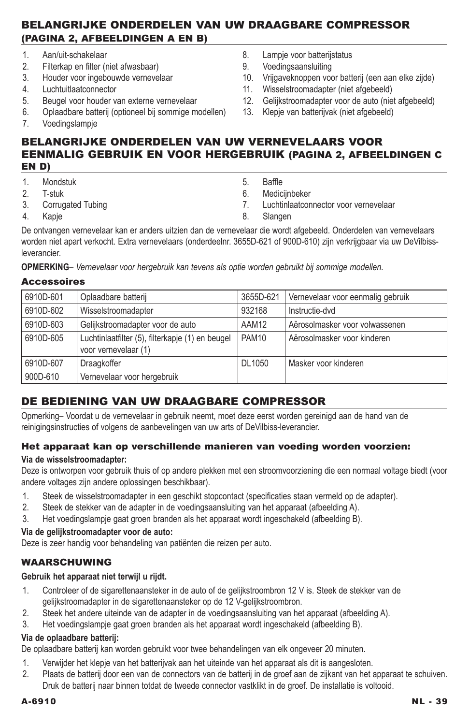## Belangrijke onderdelen van uw draagbare compressor (Pagina 2, afbeeldingen A en B)

- 1. Aan/uit-schakelaar
- 2. Filterkap en filter (niet afwasbaar)<br>3. Houder voor ingebouwde verneve
- 3. Houder voor ingebouwde vernevelaar
- 4. Luchtuitlaatconnector
- 5. Beugel voor houder van externe vernevelaar
- 6. Oplaadbare batterij (optioneel bij sommige modellen)
- 7. Voedingslampje
- 8. Lampje voor batterijstatus
- 9. Voedingsaansluiting
- 10. Vrijgaveknoppen voor batterij (een aan elke zijde)
- 11. Wisselstroomadapter (niet afgebeeld)
- 12. Gelijkstroomadapter voor de auto (niet afgebeeld)
- 13. Klepje van batterijvak (niet afgebeeld)

## Belangrijke onderdelen van uw vernevelaars voor eenmalig gebruik en voor hergebruik (Pagina 2, afbeeldingen C en D)

- 1. Mondstuk
- 2. T-stuk
- 3. Corrugated Tubing
- 4. Kapje
- 5. Baffle
- 6. Medicijnbeker
- 7. Luchtinlaatconnector voor vernevelaar
- 8. Slangen

De ontvangen vernevelaar kan er anders uitzien dan de vernevelaar die wordt afgebeeld. Onderdelen van vernevelaars worden niet apart verkocht. Extra vernevelaars (onderdeelnr. 3655D-621 of 900D-610) zijn verkrijgbaar via uw DeVilbissleverancier.

**Opmerking***– Vernevelaar voor hergebruik kan tevens als optie worden gebruikt bij sommige modellen.*

### **Accessoires**

| 6910D-601 | Oplaadbare batterij                                                      | 3655D-621    | Vernevelaar voor eenmalig gebruik |
|-----------|--------------------------------------------------------------------------|--------------|-----------------------------------|
| 6910D-602 | Wisselstroomadapter                                                      | 932168       | Instructie-dvd                    |
| 6910D-603 | Gelijkstroomadapter voor de auto                                         | AAM12        | Aërosolmasker voor volwassenen    |
| 6910D-605 | Luchtinlaatfilter (5), filterkapje (1) en beugel<br>voor vernevelaar (1) | <b>PAM10</b> | Aërosolmasker voor kinderen       |
| 6910D-607 | Draagkoffer                                                              | DL1050       | Masker voor kinderen              |
| 900D-610  | Vernevelaar voor hergebruik                                              |              |                                   |

# De bediening van uw draagbare compressor

Opmerking– Voordat u de vernevelaar in gebruik neemt, moet deze eerst worden gereinigd aan de hand van de reinigingsinstructies of volgens de aanbevelingen van uw arts of DeVilbiss-leverancier.

### Het apparaat kan op verschillende manieren van voeding worden voorzien:

### **Via de wisselstroomadapter:**

Deze is ontworpen voor gebruik thuis of op andere plekken met een stroomvoorziening die een normaal voltage biedt (voor andere voltages zijn andere oplossingen beschikbaar).

- 1. Steek de wisselstroomadapter in een geschikt stopcontact (specificaties staan vermeld op de adapter).<br>2. Steek de stekker van de adapter in de voedingsaansluiting van het apparaat (afbeelding A)
- 2. Steek de stekker van de adapter in de voedingsaansluiting van het apparaat (afbeelding A).
- 3. Het voedingslampje gaat groen branden als het apparaat wordt ingeschakeld (afbeelding B).

## **Via de gelijkstroomadapter voor de auto:**

Deze is zeer handig voor behandeling van patiënten die reizen per auto.

## WAARSCHUWING

### **Gebruik het apparaat niet terwijl u rijdt.**

- 1. Controleer of de sigarettenaansteker in de auto of de gelijkstroombron 12 V is. Steek de stekker van de gelijkstroomadapter in de sigarettenaansteker op de 12 V-gelijkstroombron.
- 2. Steek het andere uiteinde van de adapter in de voedingsaansluiting van het apparaat (afbeelding A).
- 3. Het voedingslampje gaat groen branden als het apparaat wordt ingeschakeld (afbeelding B).

### **Via de oplaadbare batterij:**

De oplaadbare batterij kan worden gebruikt voor twee behandelingen van elk ongeveer 20 minuten.

- 1. Verwijder het klepje van het batterijvak aan het uiteinde van het apparaat als dit is aangesloten.
- 2. Plaats de batterij door een van de connectors van de batterij in de groef aan de zijkant van het apparaat te schuiven. Druk de batterij naar binnen totdat de tweede connector vastklikt in de groef. De installatie is voltooid.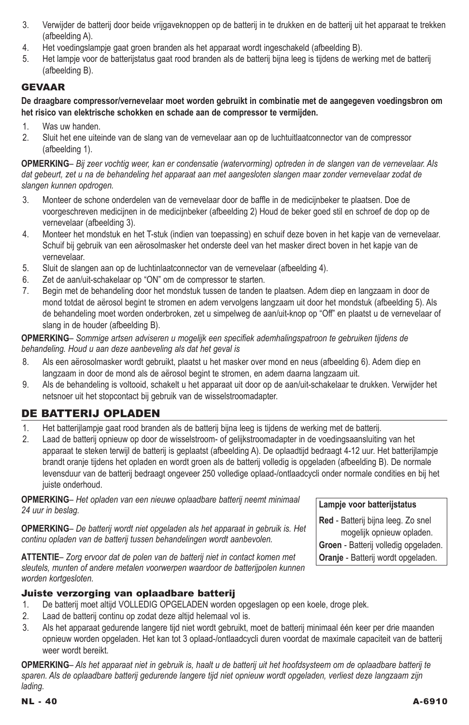- 3. Verwijder de batterij door beide vrijgaveknoppen op de batterij in te drukken en de batterij uit het apparaat te trekken (afbeelding A).
- 4. Het voedingslampje gaat groen branden als het apparaat wordt ingeschakeld (afbeelding B).
- 5. Het lampje voor de batterijstatus gaat rood branden als de batterij bijna leeg is tijdens de werking met de batterij (afbeelding B).

## **GEVAAR**

**De draagbare compressor/vernevelaar moet worden gebruikt in combinatie met de aangegeven voedingsbron om het risico van elektrische schokken en schade aan de compressor te vermijden.**

- 1. Was uw handen.
- 2. Sluit het ene uiteinde van de slang van de vernevelaar aan op de luchtuitlaatconnector van de compressor (afbeelding 1).

**Opmerking***– Bij zeer vochtig weer, kan er condensatie (watervorming) optreden in de slangen van de vernevelaar. Als dat gebeurt, zet u na de behandeling het apparaat aan met aangesloten slangen maar zonder vernevelaar zodat de slangen kunnen opdrogen.*

- 3. Monteer de schone onderdelen van de vernevelaar door de baffle in de medicijnbeker te plaatsen. Doe de voorgeschreven medicijnen in de medicijnbeker (afbeelding 2) Houd de beker goed stil en schroef de dop op de vernevelaar (afbeelding 3).
- 4. Monteer het mondstuk en het T-stuk (indien van toepassing) en schuif deze boven in het kapje van de vernevelaar. Schuif bij gebruik van een aërosolmasker het onderste deel van het masker direct boven in het kapje van de vernevelaar.
- 5. Sluit de slangen aan op de luchtinlaatconnector van de vernevelaar (afbeelding 4).
- 6. Zet de aan/uit-schakelaar op "ON" om de compressor te starten.
- 7. Begin met de behandeling door het mondstuk tussen de tanden te plaatsen. Adem diep en langzaam in door de mond totdat de aërosol begint te stromen en adem vervolgens langzaam uit door het mondstuk (afbeelding 5). Als de behandeling moet worden onderbroken, zet u simpelweg de aan/uit-knop op "Off" en plaatst u de vernevelaar of slang in de houder (afbeelding B).

**Opmerking***– Sommige artsen adviseren u mogelijk een specifiek ademhalingspatroon te gebruiken tijdens de behandeling. Houd u aan deze aanbeveling als dat het geval is*

- 8. Als een aërosolmasker wordt gebruikt, plaatst u het masker over mond en neus (afbeelding 6). Adem diep en langzaam in door de mond als de aërosol begint te stromen, en adem daarna langzaam uit.
- 9. Als de behandeling is voltooid, schakelt u het apparaat uit door op de aan/uit-schakelaar te drukken. Verwijder het netsnoer uit het stopcontact bij gebruik van de wisselstroomadapter.

## De batterij opladen

- 1. Het batterijlampje gaat rood branden als de batterij bijna leeg is tijdens de werking met de batterij.
- 2. Laad de batterij opnieuw op door de wisselstroom- of gelijkstroomadapter in de voedingsaansluiting van het apparaat te steken terwijl de batterij is geplaatst (afbeelding A). De oplaadtijd bedraagt 4-12 uur. Het batterijlampje brandt oranje tijdens het opladen en wordt groen als de batterij volledig is opgeladen (afbeelding B). De normale levensduur van de batterij bedraagt ongeveer 250 volledige oplaad-/ontlaadcycli onder normale condities en bij het juiste onderhoud.

**Opmerking***– Het opladen van een nieuwe oplaadbare batterij neemt minimaal 24 uur in beslag.*

**Opmerking***– De batterij wordt niet opgeladen als het apparaat in gebruik is. Het continu opladen van de batterij tussen behandelingen wordt aanbevolen.* 

**Attentie***– Zorg ervoor dat de polen van de batterij niet in contact komen met sleutels, munten of andere metalen voorwerpen waardoor de batterijpolen kunnen worden kortgesloten.*

### Juiste verzorging van oplaadbare batterij

- 1. De batterij moet altijd VOLLEDIG OPGELADEN worden opgeslagen op een koele, droge plek.
- 2. Laad de batterij continu op zodat deze altijd helemaal vol is.
- 3. Als het apparaat gedurende langere tijd niet wordt gebruikt, moet de batterij minimaal één keer per drie maanden opnieuw worden opgeladen. Het kan tot 3 oplaad-/ontlaadcycli duren voordat de maximale capaciteit van de batterij weer wordt bereikt.

**Opmerking***– Als het apparaat niet in gebruik is, haalt u de batterij uit het hoofdsysteem om de oplaadbare batterij te sparen. Als de oplaadbare batterij gedurende langere tijd niet opnieuw wordt opgeladen, verliest deze langzaam zijn lading.*

**Lampje voor batterijstatus**

**Red** - Batterij bijna leeg. Zo snel mogelijk opnieuw opladen. **Groen** - Batterij volledig opgeladen. **Oranje** - Batterij wordt opgeladen.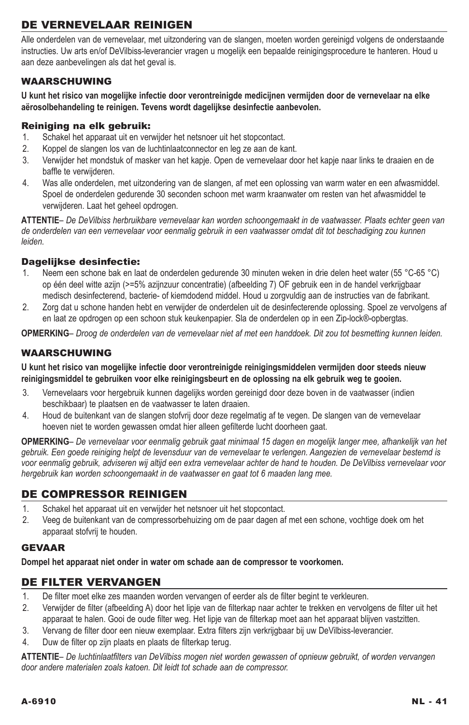# De vernevelaar reinigen

Alle onderdelen van de vernevelaar, met uitzondering van de slangen, moeten worden gereinigd volgens de onderstaande instructies. Uw arts en/of DeVilbiss-leverancier vragen u mogelijk een bepaalde reinigingsprocedure te hanteren. Houd u aan deze aanbevelingen als dat het geval is.

### Waarschuwing

**U kunt het risico van mogelijke infectie door verontreinigde medicijnen vermijden door de vernevelaar na elke aërosolbehandeling te reinigen. Tevens wordt dagelijkse desinfectie aanbevolen.**

### Reiniging na elk gebruik:

- 1. Schakel het apparaat uit en verwijder het netsnoer uit het stopcontact.
- 2. Koppel de slangen los van de luchtinlaatconnector en leg ze aan de kant.
- 3. Verwijder het mondstuk of masker van het kapje. Open de vernevelaar door het kapje naar links te draaien en de baffle te verwijderen.
- 4. Was alle onderdelen, met uitzondering van de slangen, af met een oplossing van warm water en een afwasmiddel. Spoel de onderdelen gedurende 30 seconden schoon met warm kraanwater om resten van het afwasmiddel te verwijderen. Laat het geheel opdrogen.

**Attentie***– De DeVilbiss herbruikbare vernevelaar kan worden schoongemaakt in de vaatwasser. Plaats echter geen van de onderdelen van een vernevelaar voor eenmalig gebruik in een vaatwasser omdat dit tot beschadiging zou kunnen leiden.*

### Dagelijkse desinfectie:

- 1. Neem een schone bak en laat de onderdelen gedurende 30 minuten weken in drie delen heet water (55 °C-65 °C) op één deel witte azijn (>=5% azijnzuur concentratie) (afbeelding 7) OF gebruik een in de handel verkrijgbaar medisch desinfecterend, bacterie- of kiemdodend middel. Houd u zorgvuldig aan de instructies van de fabrikant.
- 2. Zorg dat u schone handen hebt en verwijder de onderdelen uit de desinfecterende oplossing. Spoel ze vervolgens af en laat ze opdrogen op een schoon stuk keukenpapier. Sla de onderdelen op in een Zip-lock®-opbergtas.

**Opmerking***– Droog de onderdelen van de vernevelaar niet af met een handdoek. Dit zou tot besmetting kunnen leiden.*

### **WAARSCHUWING**

**U kunt het risico van mogelijke infectie door verontreinigde reinigingsmiddelen vermijden door steeds nieuw reinigingsmiddel te gebruiken voor elke reinigingsbeurt en de oplossing na elk gebruik weg te gooien.**

- 3. Vernevelaars voor hergebruik kunnen dagelijks worden gereinigd door deze boven in de vaatwasser (indien beschikbaar) te plaatsen en de vaatwasser te laten draaien.
- 4. Houd de buitenkant van de slangen stofvrij door deze regelmatig af te vegen. De slangen van de vernevelaar hoeven niet te worden gewassen omdat hier alleen gefilterde lucht doorheen gaat.

**Opmerking***– De vernevelaar voor eenmalig gebruik gaat minimaal 15 dagen en mogelijk langer mee, afhankelijk van het gebruik. Een goede reiniging helpt de levensduur van de vernevelaar te verlengen. Aangezien de vernevelaar bestemd is voor eenmalig gebruik, adviseren wij altijd een extra vernevelaar achter de hand te houden. De DeVilbiss vernevelaar voor hergebruik kan worden schoongemaakt in de vaatwasser en gaat tot 6 maaden lang mee.*

### De compressor reinigen

- 1. Schakel het apparaat uit en verwijder het netsnoer uit het stopcontact.
- 2. Veeg de buitenkant van de compressorbehuizing om de paar dagen af met een schone, vochtige doek om het apparaat stofvrij te houden.

### **GEVAAR**

**Dompel het apparaat niet onder in water om schade aan de compressor te voorkomen.**

## De filter vervangen

- 1. De filter moet elke zes maanden worden vervangen of eerder als de filter begint te verkleuren.
- 2. Verwijder de filter (afbeelding A) door het lipje van de filterkap naar achter te trekken en vervolgens de filter uit het apparaat te halen. Gooi de oude filter weg. Het lipje van de filterkap moet aan het apparaat blijven vastzitten.
- 3. Vervang de filter door een nieuw exemplaar. Extra filters zijn verkrijgbaar bij uw DeVilbiss-leverancier.
- 4. Duw de filter op zijn plaats en plaats de filterkap terug.

**Attentie***– De luchtinlaatfilters van DeVilbiss mogen niet worden gewassen of opnieuw gebruikt, of worden vervangen door andere materialen zoals katoen. Dit leidt tot schade aan de compressor.*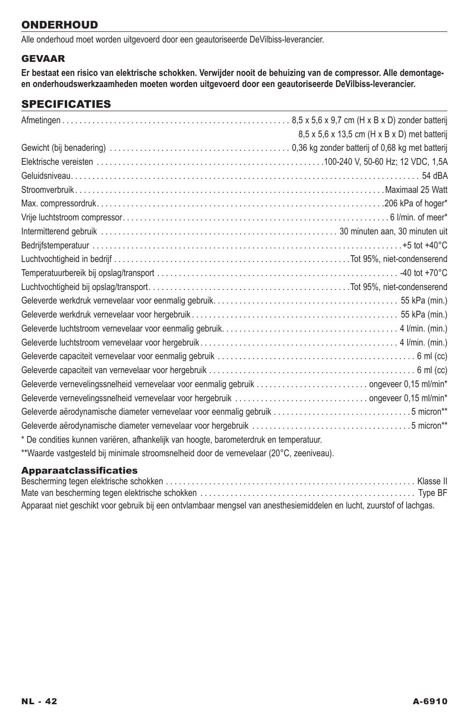## **ONDERHOUD**

Alle onderhoud moet worden uitgevoerd door een geautoriseerde DeVilbiss-leverancier.

## **GEVAAR**

**Er bestaat een risico van elektrische schokken. Verwijder nooit de behuizing van de compressor. Alle demontageen onderhoudswerkzaamheden moeten worden uitgevoerd door een geautoriseerde DeVilbiss-leverancier.**

## **SPECIFICATIES**

|                                                                                         | 8,5 x 5,6 x 13,5 cm (H x B x D) met batterij |
|-----------------------------------------------------------------------------------------|----------------------------------------------|
|                                                                                         |                                              |
|                                                                                         |                                              |
|                                                                                         |                                              |
|                                                                                         |                                              |
|                                                                                         |                                              |
|                                                                                         |                                              |
|                                                                                         |                                              |
|                                                                                         |                                              |
|                                                                                         |                                              |
|                                                                                         |                                              |
|                                                                                         |                                              |
|                                                                                         |                                              |
|                                                                                         |                                              |
|                                                                                         |                                              |
|                                                                                         |                                              |
|                                                                                         |                                              |
|                                                                                         |                                              |
|                                                                                         |                                              |
|                                                                                         |                                              |
| Geleverde aërodynamische diameter vernevelaar voor eenmalig gebruik 5 micron**          |                                              |
|                                                                                         |                                              |
| * De condities kunnen variëren, afhankelijk van hoogte, barometerdruk en temperatuur.   |                                              |
| **Waarde vastgesteld bij minimale stroomsnelheid door de vernevelaar (20°C, zeeniveau). |                                              |

### Apparaatclassificaties

| Apparaat niet geschikt voor gebruik bij een ontvlambaar mengsel van anesthesiemiddelen en lucht, zuurstof of lachgas. |  |
|-----------------------------------------------------------------------------------------------------------------------|--|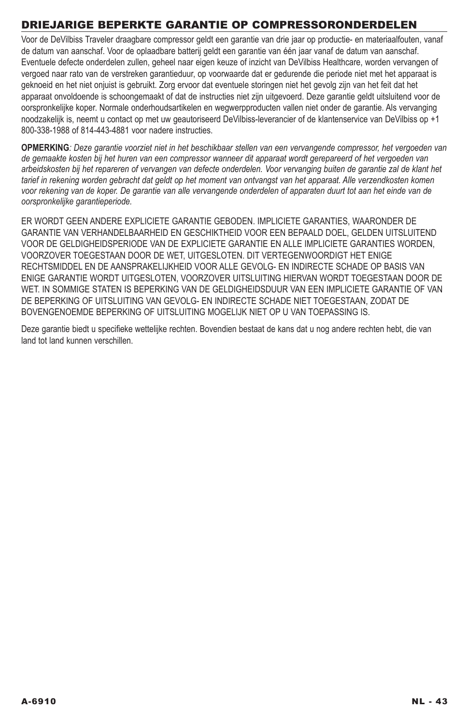# Driejarige beperkte garantie op compressoronderdelen

Voor de DeVilbiss Traveler draagbare compressor geldt een garantie van drie jaar op productie- en materiaalfouten, vanaf de datum van aanschaf. Voor de oplaadbare batterij geldt een garantie van één jaar vanaf de datum van aanschaf. Eventuele defecte onderdelen zullen, geheel naar eigen keuze of inzicht van DeVilbiss Healthcare, worden vervangen of vergoed naar rato van de verstreken garantieduur, op voorwaarde dat er gedurende die periode niet met het apparaat is geknoeid en het niet onjuist is gebruikt. Zorg ervoor dat eventuele storingen niet het gevolg zijn van het feit dat het apparaat onvoldoende is schoongemaakt of dat de instructies niet zijn uitgevoerd. Deze garantie geldt uitsluitend voor de oorspronkelijke koper. Normale onderhoudsartikelen en wegwerpproducten vallen niet onder de garantie. Als vervanging noodzakelijk is, neemt u contact op met uw geautoriseerd DeVilbiss-leverancier of de klantenservice van DeVilbiss op +1 800-338-1988 of 814-443-4881 voor nadere instructies.

**OPMERKING***: Deze garantie voorziet niet in het beschikbaar stellen van een vervangende compressor, het vergoeden van de gemaakte kosten bij het huren van een compressor wanneer dit apparaat wordt gerepareerd of het vergoeden van arbeidskosten bij het repareren of vervangen van defecte onderdelen. Voor vervanging buiten de garantie zal de klant het tarief in rekening worden gebracht dat geldt op het moment van ontvangst van het apparaat. Alle verzendkosten komen voor rekening van de koper. De garantie van alle vervangende onderdelen of apparaten duurt tot aan het einde van de oorspronkelijke garantieperiode.* 

ER WORDT GEEN ANDERE EXPLICIETE GARANTIE GEBODEN. IMPLICIETE GARANTIES, WAARONDER DE GARANTIE VAN VERHANDELBAARHEID EN GESCHIKTHEID VOOR EEN BEPAALD DOEL, GELDEN UITSLUITEND VOOR DE GELDIGHEIDSPERIODE VAN DE EXPLICIETE GARANTIE EN ALLE IMPLICIETE GARANTIES WORDEN, VOORZOVER TOEGESTAAN DOOR DE WET, UITGESLOTEN. DIT VERTEGENWOORDIGT HET ENIGE RECHTSMIDDEL EN DE AANSPRAKELIJKHEID VOOR ALLE GEVOLG- EN INDIRECTE SCHADE OP BASIS VAN ENIGE GARANTIE WORDT UITGESLOTEN, VOORZOVER UITSLUITING HIERVAN WORDT TOEGESTAAN DOOR DE WET. IN SOMMIGE STATEN IS BEPERKING VAN DE GELDIGHEIDSDUUR VAN EEN IMPLICIETE GARANTIE OF VAN DE BEPERKING OF UITSLUITING VAN GEVOLG- EN INDIRECTE SCHADE NIET TOEGESTAAN, ZODAT DE BOVENGENOEMDE BEPERKING OF UITSLUITING MOGELIJK NIET OP U VAN TOEPASSING IS.

Deze garantie biedt u specifieke wettelijke rechten. Bovendien bestaat de kans dat u nog andere rechten hebt, die van land tot land kunnen verschillen.